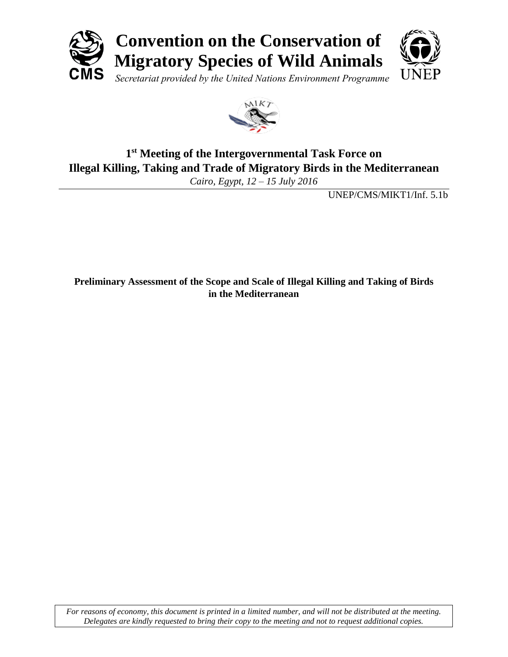



# **1 st Meeting of the Intergovernmental Task Force on Illegal Killing, Taking and Trade of Migratory Birds in the Mediterranean**

*Cairo, Egypt, 12 – 15 July 2016*

UNEP/CMS/MIKT1/Inf. 5.1b

**Preliminary Assessment of the Scope and Scale of Illegal Killing and Taking of Birds in the Mediterranean**

*For reasons of economy, this document is printed in a limited number, and will not be distributed at the meeting. Delegates are kindly requested to bring their copy to the meeting and not to request additional copies.*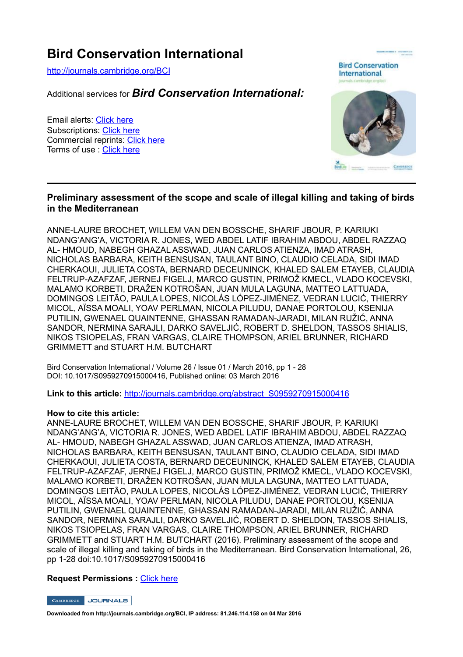# **Bird Conservation International**

http://journals.cambridge.org/BCI

Additional services for *Bird Conservation International:*

Email alerts: Click here Subscriptions: Click here Commercial reprints: Click here Terms of use : Click here

**Bird Conservation** International



# **Preliminary assessment of the scope and scale of illegal killing and taking of birds in the Mediterranean**

ANNE-LAURE BROCHET, WILLEM VAN DEN BOSSCHE, SHARIF JBOUR, P. KARIUKI NDANG'ANG'A, VICTORIA R. JONES, WED ABDEL LATIF IBRAHIM ABDOU, ABDEL RAZZAQ AL- HMOUD, NABEGH GHAZAL ASSWAD, JUAN CARLOS ATIENZA, IMAD ATRASH, NICHOLAS BARBARA, KEITH BENSUSAN, TAULANT BINO, CLAUDIO CELADA, SIDI IMAD CHERKAOUI, JULIETA COSTA, BERNARD DECEUNINCK, KHALED SALEM ETAYEB, CLAUDIA FELTRUP-AZAFZAF, JERNEJ FIGELJ, MARCO GUSTIN, PRIMOŽ KMECL, VLADO KOCEVSKI, MALAMO KORBETI, DRAŽEN KOTROŠAN, JUAN MULA LAGUNA, MATTEO LATTUADA, DOMINGOS LEITÃO, PAULA LOPES, NICOLÁS LÓPEZ-JIMÉNEZ, VEDRAN LUCIĆ, THIERRY MICOL, AÏSSA MOALI, YOAV PERLMAN, NICOLA PILUDU, DANAE PORTOLOU, KSENIJA PUTILIN, GWENAEL QUAINTENNE, GHASSAN RAMADAN-JARADI, MILAN RUŽIĆ, ANNA SANDOR, NERMINA SARAJLI, DARKO SAVELJIĆ, ROBERT D. SHELDON, TASSOS SHIALIS, NIKOS TSIOPELAS, FRAN VARGAS, CLAIRE THOMPSON, ARIEL BRUNNER, RICHARD GRIMMETT and STUART H.M. BUTCHART

Bird Conservation International / Volume 26 / Issue 01 / March 2016, pp 1 - 28 DOI: 10.1017/S0959270915000416, Published online: 03 March 2016

Link to this article: http://journals.cambridge.org/abstract\_S0959270915000416

# **How to cite this article:**

ANNE-LAURE BROCHET, WILLEM VAN DEN BOSSCHE, SHARIF JBOUR, P. KARIUKI NDANG'ANG'A, VICTORIA R. JONES, WED ABDEL LATIF IBRAHIM ABDOU, ABDEL RAZZAQ AL- HMOUD, NABEGH GHAZAL ASSWAD, JUAN CARLOS ATIENZA, IMAD ATRASH, NICHOLAS BARBARA, KEITH BENSUSAN, TAULANT BINO, CLAUDIO CELADA, SIDI IMAD CHERKAOUI, JULIETA COSTA, BERNARD DECEUNINCK, KHALED SALEM ETAYEB, CLAUDIA FELTRUP-AZAFZAF, JERNEJ FIGELJ, MARCO GUSTIN, PRIMOŽ KMECL, VLADO KOCEVSKI, MALAMO KORBETI, DRAŽEN KOTROŠAN, JUAN MULA LAGUNA, MATTEO LATTUADA, DOMINGOS LEITÃO, PAULA LOPES, NICOLÁS LÓPEZ-JIMÉNEZ, VEDRAN LUCIĆ, THIERRY MICOL, AÏSSA MOALI, YOAV PERLMAN, NICOLA PILUDU, DANAE PORTOLOU, KSENIJA PUTILIN, GWENAEL QUAINTENNE, GHASSAN RAMADAN-JARADI, MILAN RUŽIĆ, ANNA SANDOR, NERMINA SARAJLI, DARKO SAVELJIĆ, ROBERT D. SHELDON, TASSOS SHIALIS, NIKOS TSIOPELAS, FRAN VARGAS, CLAIRE THOMPSON, ARIEL BRUNNER, RICHARD GRIMMETT and STUART H.M. BUTCHART (2016). Preliminary assessment of the scope and scale of illegal killing and taking of birds in the Mediterranean. Bird Conservation International, 26, pp 1-28 doi:10.1017/S0959270915000416

# **Request Permissions :** Click here

CAMBRIDGE JOURNALS

**Downloaded from http://journals.cambridge.org/BCI, IP address: 81.246.114.158 on 04 Mar 2016**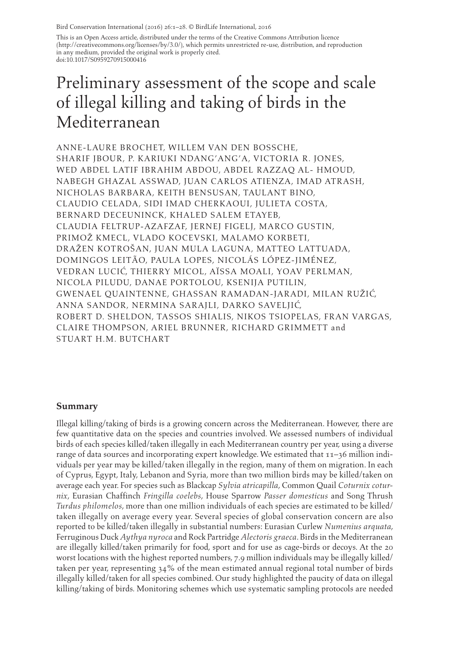This is an Open Access article, distributed under the terms of the Creative Commons Attribution licence (http://creativecommons.org/licenses/by/3.0/), which permits unrestricted re-use, distribution, and reproduction in any medium, provided the original work is properly cited. doi:10.1017/S0959270915000416

# Preliminary assessment of the scope and scale of illegal killing and taking of birds in the Mediterranean

ANNE-LAURE BROCHET, WILLEM VAN DEN BOSSCHE, SHARIF JBOUR, P. KARIUKI NDANG'ANG'A, VICTORIA R. JONES, WED ABDEL LATIF IBRAHIM ABDOU, ABDEL RAZZAQ AL- HMOUD, NABEGH GHAZAL ASSWAD, JUAN CARLOS ATIENZA, IMAD ATRASH, NICHOLAS BARBARA, KEITH BENSUSAN, TAULANT BINO, CLAUDIO CELADA, SIDI IMAD CHERKAOUI, JULIETA COSTA, BERNARD DECEUNINCK, KHALED SALEM ETAYEB, CLAUDIA FELTRUP-AZAFZAF, JERNEJ FIGELJ, MARCO GUSTIN, PRIMOŽ KMECL, VLADO KOCEVSKI, MALAMO KORBETI, DRAŽEN KOTROŠAN, JUAN MULA LAGUNA, MATTEO LATTUADA, DOMINGOS LEITÃO, PAULA LOPES, NICOLÁS LÓPEZ-JIMÉNEZ, VEDRAN LUCIĆ, THIERRY MICOL, AÏSSA MOALI, YOAV PERLMAN, NICOLA PILUDU, DANAE PORTOLOU, KSENIJA PUTILIN, GWENAEL QUAINTENNE, GHASSAN RAMADAN-JARADI, MILAN RUŽIĆ, ANNA SANDOR, NERMINA SARAJLI, DARKO SAVELJIĆ, ROBERT D. SHELDON, TASSOS SHIALIS, NIKOS TSIOPELAS, FRAN VARGAS, CLAIRE THOMPSON, ARIEL BRUNNER, RICHARD GRIMMETT and STUART H.M. BUTCHART

#### **Summary**

 Illegal killing/taking of birds is a growing concern across the Mediterranean. However, there are few quantitative data on the species and countries involved. We assessed numbers of individual birds of each species killed/taken illegally in each Mediterranean country per year, using a diverse range of data sources and incorporating expert knowledge. We estimated that 11–36 million individuals per year may be killed/taken illegally in the region, many of them on migration. In each of Cyprus, Egypt, Italy, Lebanon and Syria, more than two million birds may be killed/taken on average each year. For species such as Blackcap *Sylvia atricapilla* , Common Quail *Coturnix coturnix* , Eurasian Chaffinch *Fringilla coelebs* , House Sparrow *Passer domesticus* and Song Thrush *Turdus philomelos* , more than one million individuals of each species are estimated to be killed/ taken illegally on average every year. Several species of global conservation concern are also reported to be killed/taken illegally in substantial numbers: Eurasian Curlew *Numenius arquata* , Ferruginous Duck *Aythya nyroca* and Rock Partridge *Alectoris graeca* . Birds in the Mediterranean are illegally killed/taken primarily for food, sport and for use as cage-birds or decoys. At the 20 worst locations with the highest reported numbers, 7.9 million individuals may be illegally killed/ taken per year, representing 34% of the mean estimated annual regional total number of birds illegally killed/taken for all species combined. Our study highlighted the paucity of data on illegal killing/taking of birds. Monitoring schemes which use systematic sampling protocols are needed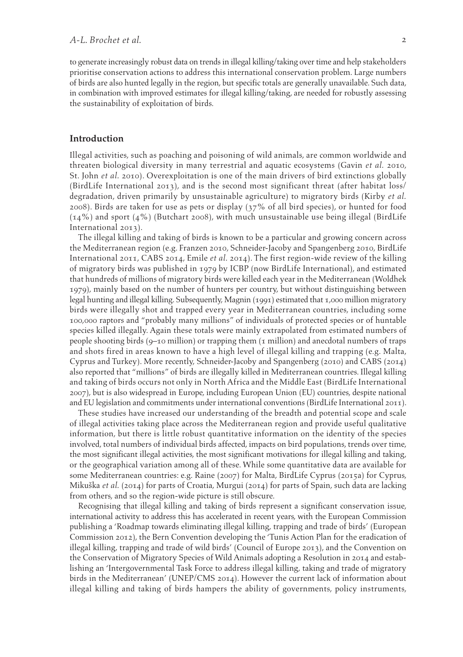to generate increasingly robust data on trends in illegal killing/taking over time and help stakeholders prioritise conservation actions to address this international conservation problem. Large numbers of birds are also hunted legally in the region, but specific totals are generally unavailable. Such data, in combination with improved estimates for illegal killing/taking, are needed for robustly assessing the sustainability of exploitation of birds.

#### **Introduction**

 Illegal activities, such as poaching and poisoning of wild animals, are common worldwide and threaten biological diversity in many terrestrial and aquatic ecosystems (Gavin *et al.* 2010, St. John *et al.* 2010 ). Overexploitation is one of the main drivers of bird extinctions globally (BirdLife International 2013), and is the second most significant threat (after habitat  $loss/$ degradation, driven primarily by unsustainable agriculture) to migratory birds (Kirby *et al.* 2008 ). Birds are taken for use as pets or display (37% of all bird species), or hunted for food  $(14%)$  and sport  $(4%)$  (Butchart 2008), with much unsustainable use being illegal (BirdLife International 2013 ).

 The illegal killing and taking of birds is known to be a particular and growing concern across the Mediterranean region (e.g. Franzen 2010 , Schneider-Jacoby and Spangenberg 2010 , BirdLife International 2011 , CABS 2014 , Emile *et al.* 2014 ). The first region-wide review of the killing of migratory birds was published in 1979 by ICBP (now BirdLife International), and estimated that hundreds of millions of migratory birds were killed each year in the Mediterranean (Woldhek 1979 ), mainly based on the number of hunters per country, but without distinguishing between legal hunting and illegal killing. Subsequently, Magnin (1991) estimated that 1,000 million migratory birds were illegally shot and trapped every year in Mediterranean countries, including some 100,000 raptors and "probably many millions" of individuals of protected species or of huntable species killed illegally. Again these totals were mainly extrapolated from estimated numbers of people shooting birds (9–10 million) or trapping them (1 million) and anecdotal numbers of traps and shots fired in areas known to have a high level of illegal killing and trapping (e.g. Malta, Cyprus and Turkey). More recently, Schneider-Jacoby and Spangenberg ( 2010 ) and CABS ( 2014 ) also reported that "millions" of birds are illegally killed in Mediterranean countries. Illegal killing and taking of birds occurs not only in North Africa and the Middle East (BirdLife International 2007 ), but is also widespread in Europe, including European Union (EU) countries, despite national and EU legislation and commitments under international conventions (BirdLife International 2011 ).

 These studies have increased our understanding of the breadth and potential scope and scale of illegal activities taking place across the Mediterranean region and provide useful qualitative information, but there is little robust quantitative information on the identity of the species involved, total numbers of individual birds affected, impacts on bird populations, trends over time, the most significant illegal activities, the most significant motivations for illegal killing and taking, or the geographical variation among all of these. While some quantitative data are available for some Mediterranean countries: e.g. Raine (2007) for Malta, BirdLife Cyprus (2015a) for Cyprus, Mikuška *et al.* ( 2014 ) for parts of Croatia, Murgui ( 2014 ) for parts of Spain, such data are lacking from others, and so the region-wide picture is still obscure.

 Recognising that illegal killing and taking of birds represent a significant conservation issue, international activity to address this has accelerated in recent years, with the European Commission publishing a 'Roadmap towards eliminating illegal killing, trapping and trade of birds' (European Commission 2012 ), the Bern Convention developing the 'Tunis Action Plan for the eradication of illegal killing, trapping and trade of wild birds' (Council of Europe 2013), and the Convention on the Conservation of Migratory Species of Wild Animals adopting a Resolution in 2014 and establishing an 'Intergovernmental Task Force to address illegal killing, taking and trade of migratory birds in the Mediterranean' (UNEP/CMS 2014 ). However the current lack of information about illegal killing and taking of birds hampers the ability of governments, policy instruments,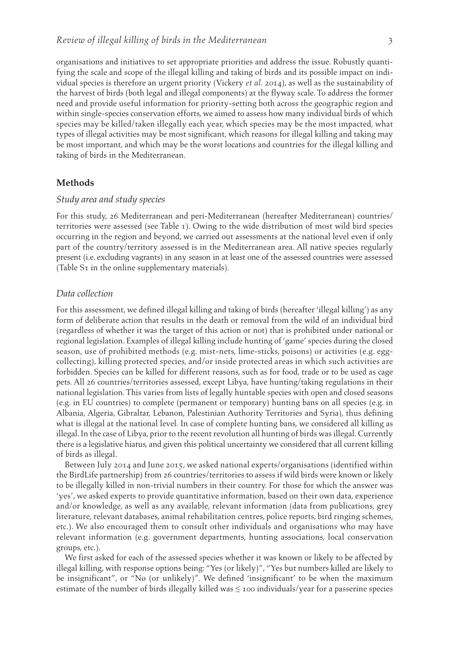organisations and initiatives to set appropriate priorities and address the issue. Robustly quantifying the scale and scope of the illegal killing and taking of birds and its possible impact on individual species is therefore an urgent priority (Vickery *et al.* 2014 ), as well as the sustainability of the harvest of birds (both legal and illegal components) at the flyway scale. To address the former need and provide useful information for priority-setting both across the geographic region and within single-species conservation efforts, we aimed to assess how many individual birds of which species may be killed/taken illegally each year, which species may be the most impacted, what types of illegal activities may be most significant, which reasons for illegal killing and taking may be most important, and which may be the worst locations and countries for the illegal killing and taking of birds in the Mediterranean.

#### **Methods**

#### *Study area and study species*

 For this study, 26 Mediterranean and peri-Mediterranean (hereafter Mediterranean) countries/ territories were assessed (see Table  $\tau$ ). Owing to the wide distribution of most wild bird species occurring in the region and beyond, we carried out assessments at the national level even if only part of the country/territory assessed is in the Mediterranean area. All native species regularly present (i.e. excluding vagrants) in any season in at least one of the assessed countries were assessed (Table S1 in the online supplementary materials).

#### *Data collection*

 For this assessment, we defined illegal killing and taking of birds (hereafter 'illegal killing') as any form of deliberate action that results in the death or removal from the wild of an individual bird (regardless of whether it was the target of this action or not) that is prohibited under national or regional legislation. Examples of illegal killing include hunting of 'game' species during the closed season, use of prohibited methods (e.g. mist-nets, lime-sticks, poisons) or activities (e.g. eggcollecting), killing protected species, and/or inside protected areas in which such activities are forbidden. Species can be killed for different reasons, such as for food, trade or to be used as cage pets. All 26 countries/territories assessed, except Libya, have hunting/taking regulations in their national legislation. This varies from lists of legally huntable species with open and closed seasons (e.g. in EU countries) to complete (permanent or temporary) hunting bans on all species (e.g. in Albania, Algeria, Gibraltar, Lebanon, Palestinian Authority Territories and Syria), thus defining what is illegal at the national level. In case of complete hunting bans, we considered all killing as illegal. In the case of Libya, prior to the recent revolution all hunting of birds was illegal. Currently there is a legislative hiatus, and given this political uncertainty we considered that all current killing of birds as illegal.

 Between July 2014 and June 2015, we asked national experts/organisations (identified within the BirdLife partnership) from 26 countries/territories to assess if wild birds were known or likely to be illegally killed in non-trivial numbers in their country. For those for which the answer was 'yes', we asked experts to provide quantitative information, based on their own data, experience and/or knowledge, as well as any available, relevant information (data from publications, grey literature, relevant databases, animal rehabilitation centres, police reports, bird ringing schemes, etc.). We also encouraged them to consult other individuals and organisations who may have relevant information (e.g. government departments, hunting associations, local conservation groups, etc.).

 We first asked for each of the assessed species whether it was known or likely to be affected by illegal killing, with response options being: "Yes (or likely)", "Yes but numbers killed are likely to be insignificant", or "No (or unlikely)". We defined 'insignificant' to be when the maximum estimate of the number of birds illegally killed was  $\leq$  100 individuals/year for a passerine species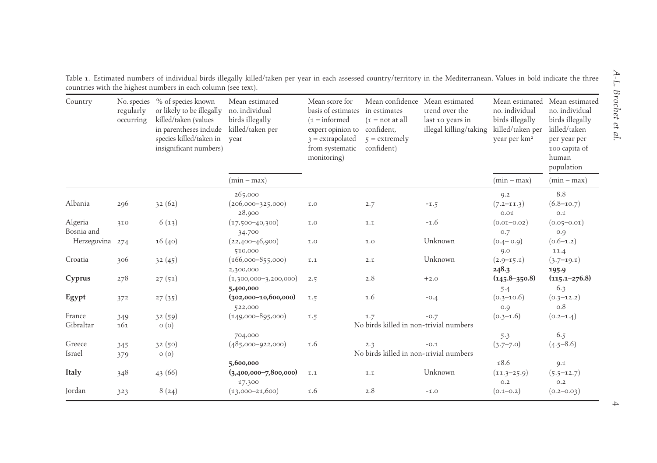| Country               | No. species<br>regularly<br>occurring | % of species known<br>or likely to be illegally<br>killed/taken (values<br>in parentheses include<br>species killed/taken in<br>insignificant numbers) | Mean estimated<br>no. individual<br>birds illegally<br>killed/taken per<br>vear | Mean score for<br>basis of estimates<br>$(x = informed$<br>expert opinion to<br>$3 =$ extrapolated<br>from systematic<br>monitoring) | Mean confidence<br>in estimates<br>$\tau$ = not at all<br>confident,<br>$5 =$ extremely<br>confident) | Mean estimated<br>trend over the<br>last 10 years in<br>illegal killing/taking | Mean estimated<br>no. individual<br>birds illegally<br>killed/taken per<br>year per km <sup>2</sup> | Mean estimated<br>no. individual<br>birds illegally<br>killed/taken<br>per year per<br>100 capita of<br>human<br>population |
|-----------------------|---------------------------------------|--------------------------------------------------------------------------------------------------------------------------------------------------------|---------------------------------------------------------------------------------|--------------------------------------------------------------------------------------------------------------------------------------|-------------------------------------------------------------------------------------------------------|--------------------------------------------------------------------------------|-----------------------------------------------------------------------------------------------------|-----------------------------------------------------------------------------------------------------------------------------|
|                       |                                       |                                                                                                                                                        | $(min - max)$                                                                   |                                                                                                                                      |                                                                                                       |                                                                                | $(min - max)$                                                                                       | $(min - max)$                                                                                                               |
|                       |                                       |                                                                                                                                                        | 265,000                                                                         |                                                                                                                                      |                                                                                                       |                                                                                | 9.2                                                                                                 | 8.8                                                                                                                         |
| Albania               | 296                                   | 32(62)                                                                                                                                                 | $(206,000-325,000)$<br>28,900                                                   | 1.0                                                                                                                                  | 2.7                                                                                                   | $-1.5$                                                                         | $(7.2 - 11.3)$<br>0.01                                                                              | $(6.8 - 10.7)$<br>0.1                                                                                                       |
| Algeria<br>Bosnia and | 310                                   | 6(13)                                                                                                                                                  | $(17,500 - 40,300)$<br>34,700                                                   | 1.0                                                                                                                                  | 1.1                                                                                                   | $-1.6$                                                                         | $(0.01 - 0.02)$<br>0.7                                                                              | $(0.05 - 0.01)$<br>0.9                                                                                                      |
| Herzegovina           | 274                                   | 16(40)                                                                                                                                                 | $(22,400-46,900)$<br>510,000                                                    | 1.0                                                                                                                                  | 1.0                                                                                                   | Unknown                                                                        | $(0.4 - 0.9)$<br>9.0                                                                                | $(0.6 - 1.2)$<br>11.4                                                                                                       |
| Croatia               | 306                                   | 32(45)                                                                                                                                                 | $(166,000 - 855,000)$<br>2,300,000                                              | 1.1                                                                                                                                  | 2.1                                                                                                   | Unknown                                                                        | $(2.9 - 15.1)$<br>248.3                                                                             | $(3.7 - 19.1)$<br>195.9                                                                                                     |
| Cyprus                | 278                                   | 27(51)                                                                                                                                                 | $(1,300,000-3,200,000)$<br>5,400,000                                            | 2.5                                                                                                                                  | 2.8                                                                                                   | $+2.0$                                                                         | $(145.8 - 350.8)$<br>5.4                                                                            | $(115.1 - 276.8)$<br>6.3                                                                                                    |
| Egypt                 | 372                                   | 27(35)                                                                                                                                                 | $(302,000 - 10,600,000)$<br>522,000                                             | 1.5                                                                                                                                  | 1.6                                                                                                   | $-0.4$                                                                         | $(0.3 - 10.6)$<br>0.9                                                                               | $(0.3 - 12.2)$<br>0.8                                                                                                       |
| France<br>Gibraltar   | 349<br>161                            | 32(59)<br>O(0)                                                                                                                                         | $(149,000 - 895,000)$                                                           | 1.5                                                                                                                                  | 1.7<br>No birds killed in non-trivial numbers                                                         | $-0.7$                                                                         | $(0.3 - 1.6)$                                                                                       | $(0.2 - 1.4)$                                                                                                               |
|                       |                                       |                                                                                                                                                        | 704,000                                                                         |                                                                                                                                      |                                                                                                       |                                                                                | 5.3                                                                                                 | 6.5                                                                                                                         |
| Greece<br>Israel      | 345<br>379                            | 32(50)<br>O(0)                                                                                                                                         | $(485,000-922,000)$                                                             | 1.6                                                                                                                                  | 2.3<br>No birds killed in non-trivial numbers                                                         | $-0.1$                                                                         | $(3.7 - 7.0)$                                                                                       | $(4.5 - 8.6)$                                                                                                               |
|                       |                                       |                                                                                                                                                        | 5,600,000                                                                       |                                                                                                                                      |                                                                                                       |                                                                                | 18.6                                                                                                | 9.1                                                                                                                         |
| Italy                 | 348                                   | 43 (66)                                                                                                                                                | $(3,400,000 - 7,800,000)$<br>17,300                                             | 1.1                                                                                                                                  | 1.1                                                                                                   | Unknown                                                                        | $(11.3 - 25.9)$<br>0.2                                                                              | $(5.5 - 12.7)$<br>0.2                                                                                                       |
| Jordan                | 323                                   | 8(24)                                                                                                                                                  | $(13,000-21,600)$                                                               | 1.6                                                                                                                                  | 2.8                                                                                                   | $-1.0$                                                                         | $(0.1 - 0.2)$                                                                                       | $(0.2 - 0.03)$                                                                                                              |

 Table 1. Estimated numbers of individual birds illegally killed/taken per year in each assessed country/territory in the Mediterranean. Values in bold indicate the three countries with the highest numbers in each column (see text).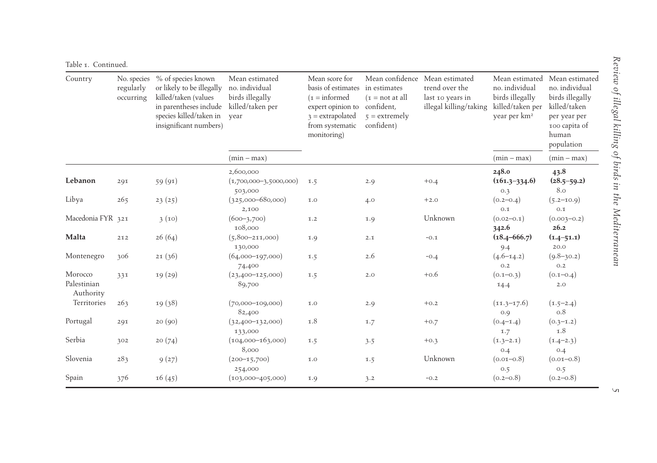| Table 1. Continued.                 |                                       |                                                                                                                                                        |                                                                                 |                                                                                                                                     |                                                                                                                                       |                                                              |                                                                                                     |                                                                                                                             |
|-------------------------------------|---------------------------------------|--------------------------------------------------------------------------------------------------------------------------------------------------------|---------------------------------------------------------------------------------|-------------------------------------------------------------------------------------------------------------------------------------|---------------------------------------------------------------------------------------------------------------------------------------|--------------------------------------------------------------|-----------------------------------------------------------------------------------------------------|-----------------------------------------------------------------------------------------------------------------------------|
| Country                             | No. species<br>regularly<br>occurring | % of species known<br>or likely to be illegally<br>killed/taken (values<br>in parentheses include<br>species killed/taken in<br>insignificant numbers) | Mean estimated<br>no. individual<br>birds illegally<br>killed/taken per<br>vear | Mean score for<br>basis of estimates<br>$1 =$ informed<br>expert opinion to<br>$3$ = extrapolated<br>from systematic<br>monitoring) | Mean confidence Mean estimated<br>in estimates<br>$\left(1 = \text{not at all}\right)$<br>confident,<br>$5 =$ extremely<br>confident) | trend over the<br>last 10 years in<br>illegal killing/taking | Mean estimated<br>no. individual<br>birds illegally<br>killed/taken per<br>year per km <sup>2</sup> | Mean estimated<br>no. individual<br>birds illegally<br>killed/taken<br>per year per<br>100 capita of<br>human<br>population |
|                                     |                                       |                                                                                                                                                        | $(min - max)$                                                                   |                                                                                                                                     |                                                                                                                                       |                                                              | $(min - max)$                                                                                       | $(min - max)$                                                                                                               |
| Lebanon                             | 291                                   | 59(91)                                                                                                                                                 | 2,600,000<br>$(1,700,000-3,5000,000)$<br>503,000                                | 1.5                                                                                                                                 | 2.9                                                                                                                                   | $+0.4$                                                       | 248.0<br>$(161.3 - 334.6)$<br>O.3                                                                   | 43.8<br>$(28.5 - 59.2)$<br>8.0                                                                                              |
| Libya                               | 265                                   | 23(25)                                                                                                                                                 | $(325,000 - 680,000)$<br>2,100                                                  | 1.0                                                                                                                                 | 4.0                                                                                                                                   | $+2.0$                                                       | $(0.2 - 0.4)$<br>0.1                                                                                | $(5.2 - 10.9)$<br>0.1                                                                                                       |
| Macedonia FYR 321                   |                                       | 3(10)                                                                                                                                                  | $(600 - 3,700)$<br>108,000                                                      | 1.2                                                                                                                                 | 1.9                                                                                                                                   | Unknown                                                      | $(0.02 - 0.1)$<br>342.6                                                                             | $(0.003 - 0.2)$<br>26.2                                                                                                     |
| Malta                               | 212                                   | 26(64)                                                                                                                                                 | $(5,800 - 211,000)$<br>130,000                                                  | 1.9                                                                                                                                 | 2.1                                                                                                                                   | $-0.1$                                                       | $(18.4 - 666.7)$<br>9.4                                                                             | $(1.4 - 51.1)$<br>20.0                                                                                                      |
| Montenegro                          | 306                                   | 21(36)                                                                                                                                                 | $(64,000-197,000)$<br>74,400                                                    | 1.5                                                                                                                                 | 2.6                                                                                                                                   | $-0.4$                                                       | $(4.6 - 14.2)$<br>O.2                                                                               | $(9.8 - 30.2)$<br>0.2                                                                                                       |
| Morocco<br>Palestinian<br>Authority | 331                                   | 19(29)                                                                                                                                                 | $(23,400 - 125,000)$<br>89,700                                                  | 1.5                                                                                                                                 | 2.0                                                                                                                                   | $+0.6$                                                       | $(0.1 - 0.3)$<br>14.4                                                                               | $(0.1 - 0.4)$<br>2.0                                                                                                        |
| Territories                         | 263                                   | 19 (38)                                                                                                                                                | $(70,000 - 109,000)$<br>82,400                                                  | 1.0                                                                                                                                 | 2.9                                                                                                                                   | $+0.2$                                                       | $(11.3 - 17.6)$<br>0.9                                                                              | $(1.5 - 2.4)$<br>0.8                                                                                                        |
| Portugal                            | 291                                   | 20(90)                                                                                                                                                 | $(32,400-132,000)$<br>133,000                                                   | 1.8                                                                                                                                 | 1.7                                                                                                                                   | $+0.7$                                                       | $(0.4 - 1.4)$<br>1.7                                                                                | $(0.3 - 1.2)$<br>1.8                                                                                                        |
| Serbia                              | 302                                   | 20(74)                                                                                                                                                 | $(104,000 - 163,000)$<br>8,000                                                  | 1.5                                                                                                                                 | 3.5                                                                                                                                   | $+0.3$                                                       | $(1.3 - 2.1)$<br>0.4                                                                                | $(1.4 - 2.3)$<br>0.4                                                                                                        |
| Slovenia                            | 283                                   | 9(27)                                                                                                                                                  | $(200 - 15,700)$<br>254,000                                                     | 1.0                                                                                                                                 | 1.5                                                                                                                                   | Unknown                                                      | $(0.01 - 0.8)$<br>0.5                                                                               | $(0.01 - 0.8)$<br>0.5                                                                                                       |
| Spain                               | 376                                   | 16(45)                                                                                                                                                 | $(103,000 - 405,000)$                                                           | 1.9                                                                                                                                 | 3.2                                                                                                                                   | $-0.2$                                                       | $(0.2 - 0.8)$                                                                                       | $(0.2 - 0.8)$                                                                                                               |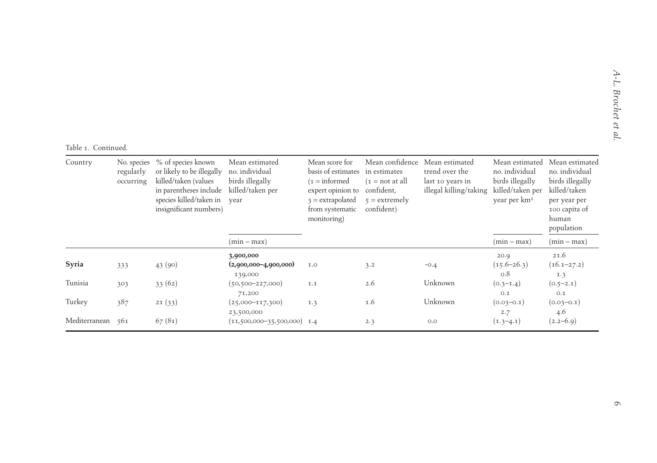# Table 1. Continued.

| Country       | No. species<br>regularly<br>occurring | % of species known<br>or likely to be illegally<br>killed/taken (values<br>in parentheses include<br>species killed/taken in<br>insignificant numbers) | Mean estimated<br>no. individual<br>birds illegally<br>killed/taken per<br>vear | Mean score for<br>basis of estimates<br>$(1 = informed$<br>expert opinion to<br>$3 =$ extrapolated<br>from systematic<br>monitoring) | Mean confidence<br>in estimates<br>$\left(1 = \text{not at all}\right)$<br>confident,<br>$5 =$ extremely<br>confident) | Mean estimated<br>trend over the<br>last 10 years in<br>illegal killing/taking | Mean estimated<br>no. individual<br>birds illegally<br>killed/taken per<br>year per km <sup>2</sup> | Mean estimated<br>no. individual<br>birds illegally<br>killed/taken<br>per year per<br>100 capita of<br>human<br>population |
|---------------|---------------------------------------|--------------------------------------------------------------------------------------------------------------------------------------------------------|---------------------------------------------------------------------------------|--------------------------------------------------------------------------------------------------------------------------------------|------------------------------------------------------------------------------------------------------------------------|--------------------------------------------------------------------------------|-----------------------------------------------------------------------------------------------------|-----------------------------------------------------------------------------------------------------------------------------|
|               |                                       |                                                                                                                                                        | (min – max)                                                                     |                                                                                                                                      |                                                                                                                        |                                                                                | $(min - max)$                                                                                       | $(min - max)$                                                                                                               |
| Syria         |                                       |                                                                                                                                                        | 3,900,000                                                                       |                                                                                                                                      |                                                                                                                        |                                                                                | 20.9                                                                                                | 21.6                                                                                                                        |
|               | 333                                   | 43(90)                                                                                                                                                 | $(2,900,000-4,900,000)$<br>139,000                                              | 1.0                                                                                                                                  | 3.2                                                                                                                    | $-0.4$                                                                         | $(15.6 - 26.3)$<br>0.8                                                                              | $(16.1 - 27.2)$<br>1.3                                                                                                      |
| Tunisia       | 303                                   | 33(62)                                                                                                                                                 | $(50, 500 - 227, 000)$<br>71,200                                                | 1.1                                                                                                                                  | 2.6                                                                                                                    | Unknown                                                                        | $(0.3 - 1.4)$<br>0.1                                                                                | $(0.5 - 2.1)$<br>0.1                                                                                                        |
| Turkey        | 387                                   | 21(33)                                                                                                                                                 | $(25,000-117,300)$                                                              | 1.3                                                                                                                                  | 1.6                                                                                                                    | Unknown                                                                        | $(0.03 - 0.1)$                                                                                      | $(0.03 - 0.1)$                                                                                                              |
| Mediterranean | 561                                   | 67(81)                                                                                                                                                 | 23,500,000<br>$(11,500,000-35,500,000)$ 1.4                                     |                                                                                                                                      | 2.3                                                                                                                    | O.O                                                                            | 2.7<br>$(1.3-4.1)$                                                                                  | 4.6<br>$(2.2 - 6.9)$                                                                                                        |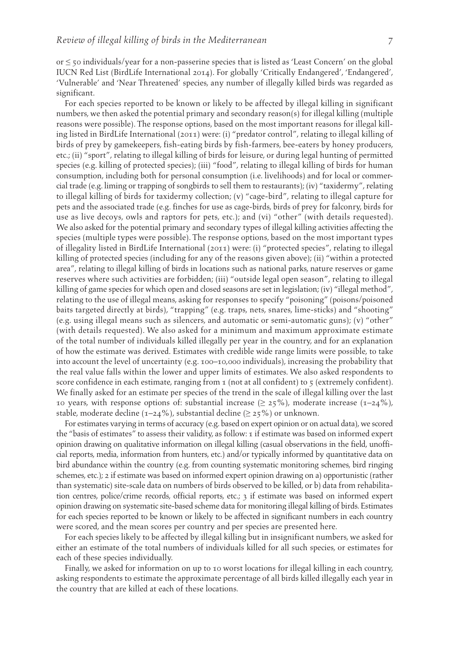or ≤ 50 individuals/year for a non-passerine species that is listed as 'Least Concern' on the global IUCN Red List (BirdLife International 2014 ). For globally 'Critically Endangered', 'Endangered', 'Vulnerable' and 'Near Threatened' species, any number of illegally killed birds was regarded as significant.

 For each species reported to be known or likely to be affected by illegal killing in significant numbers, we then asked the potential primary and secondary reason(s) for illegal killing (multiple reasons were possible). The response options, based on the most important reasons for illegal killing listed in BirdLife International ( 2011 ) were: (i) "predator control", relating to illegal killing of birds of prey by gamekeepers, fish-eating birds by fish-farmers, bee-eaters by honey producers, etc.; (ii) "sport", relating to illegal killing of birds for leisure, or during legal hunting of permitted species (e.g. killing of protected species); (iii) "food", relating to illegal killing of birds for human consumption, including both for personal consumption (i.e. livelihoods) and for local or commercial trade (e.g. liming or trapping of songbirds to sell them to restaurants); (iv) "taxidermy", relating to illegal killing of birds for taxidermy collection; (v) "cage-bird", relating to illegal capture for pets and the associated trade (e.g. finches for use as cage-birds, birds of prey for falconry, birds for use as live decoys, owls and raptors for pets, etc.); and (vi) "other" (with details requested). We also asked for the potential primary and secondary types of illegal killing activities affecting the species (multiple types were possible). The response options, based on the most important types of illegality listed in BirdLife International ( 2011 ) were: (i) "protected species", relating to illegal killing of protected species (including for any of the reasons given above); (ii) "within a protected area", relating to illegal killing of birds in locations such as national parks, nature reserves or game reserves where such activities are forbidden; (iii) "outside legal open season", relating to illegal killing of game species for which open and closed seasons are set in legislation; (iv) "illegal method", relating to the use of illegal means, asking for responses to specify "poisoning" (poisons/poisoned baits targeted directly at birds), "trapping" (e.g. traps, nets, snares, lime-sticks) and "shooting" (e.g. using illegal means such as silencers, and automatic or semi-automatic guns); (v) "other" (with details requested). We also asked for a minimum and maximum approximate estimate of the total number of individuals killed illegally per year in the country, and for an explanation of how the estimate was derived. Estimates with credible wide range limits were possible, to take into account the level of uncertainty (e.g. 100–10,000 individuals), increasing the probability that the real value falls within the lower and upper limits of estimates. We also asked respondents to score confidence in each estimate, ranging from 1 (not at all confident) to 5 (extremely confident). We finally asked for an estimate per species of the trend in the scale of illegal killing over the last 10 years, with response options of: substantial increase ( $\geq$  25%), moderate increase ( $1-24\%$ ), stable, moderate decline (1–24%), substantial decline ( $\geq$  25%) or unknown.

 For estimates varying in terms of accuracy (e.g. based on expert opinion or on actual data), we scored the "basis of estimates" to assess their validity, as follow: 1 if estimate was based on informed expert opinion drawing on qualitative information on illegal killing (casual observations in the field, unofficial reports, media, information from hunters, etc.) and/or typically informed by quantitative data on bird abundance within the country (e.g. from counting systematic monitoring schemes, bird ringing schemes, etc.); 2 if estimate was based on informed expert opinion drawing on a) opportunistic (rather than systematic) site-scale data on numbers of birds observed to be killed, or b) data from rehabilitation centres, police/crime records, official reports, etc.; 3 if estimate was based on informed expert opinion drawing on systematic site-based scheme data for monitoring illegal killing of birds. Estimates for each species reported to be known or likely to be affected in significant numbers in each country were scored, and the mean scores per country and per species are presented here.

 For each species likely to be affected by illegal killing but in insignificant numbers, we asked for either an estimate of the total numbers of individuals killed for all such species, or estimates for each of these species individually.

 Finally, we asked for information on up to 10 worst locations for illegal killing in each country, asking respondents to estimate the approximate percentage of all birds killed illegally each year in the country that are killed at each of these locations.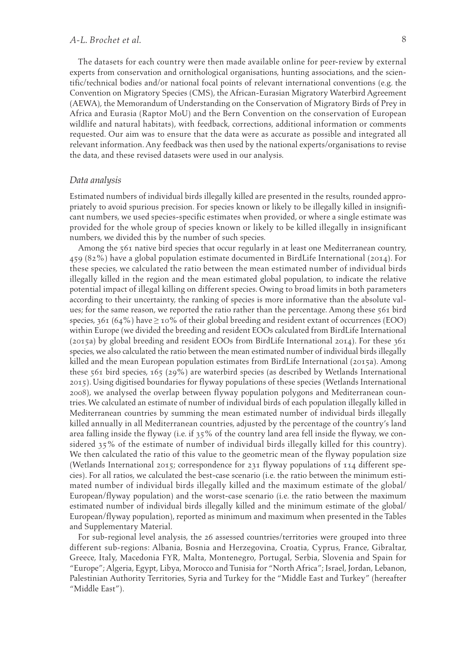The datasets for each country were then made available online for peer-review by external experts from conservation and ornithological organisations, hunting associations, and the scientific/technical bodies and/or national focal points of relevant international conventions (e.g. the Convention on Migratory Species (CMS), the African-Eurasian Migratory Waterbird Agreement (AEWA), the Memorandum of Understanding on the Conservation of Migratory Birds of Prey in Africa and Eurasia (Raptor MoU) and the Bern Convention on the conservation of European wildlife and natural habitats), with feedback, corrections, additional information or comments requested. Our aim was to ensure that the data were as accurate as possible and integrated all relevant information. Any feedback was then used by the national experts/organisations to revise the data, and these revised datasets were used in our analysis.

#### *Data analysis*

 Estimated numbers of individual birds illegally killed are presented in the results, rounded appropriately to avoid spurious precision. For species known or likely to be illegally killed in insignificant numbers, we used species-specific estimates when provided, or where a single estimate was provided for the whole group of species known or likely to be killed illegally in insignificant numbers, we divided this by the number of such species.

 Among the 561 native bird species that occur regularly in at least one Mediterranean country, 459 (82%) have a global population estimate documented in BirdLife International ( 2014 ). For these species, we calculated the ratio between the mean estimated number of individual birds illegally killed in the region and the mean estimated global population, to indicate the relative potential impact of illegal killing on different species. Owing to broad limits in both parameters according to their uncertainty, the ranking of species is more informative than the absolute values; for the same reason, we reported the ratio rather than the percentage. Among these 561 bird species, 361 (64%) have  $\geq$  10% of their global breeding and resident extant of occurrences (EOO) within Europe (we divided the breeding and resident EOOs calculated from BirdLife International  $(2015a)$  by global breeding and resident EOOs from BirdLife International 2014). For these 361 species, we also calculated the ratio between the mean estimated number of individual birds illegally killed and the mean European population estimates from BirdLife International ( 2015a ). Among these 561 bird species, 165 (29%) are waterbird species (as described by Wetlands International 2015 ). Using digitised boundaries for flyway populations of these species (Wetlands International 2008 ), we analysed the overlap between flyway population polygons and Mediterranean countries. We calculated an estimate of number of individual birds of each population illegally killed in Mediterranean countries by summing the mean estimated number of individual birds illegally killed annually in all Mediterranean countries, adjusted by the percentage of the country's land area falling inside the flyway (i.e. if 35% of the country land area fell inside the flyway, we considered 35% of the estimate of number of individual birds illegally killed for this country). We then calculated the ratio of this value to the geometric mean of the flyway population size (Wetlands International 2015; correspondence for 231 flyway populations of 114 different species). For all ratios, we calculated the best-case scenario (i.e. the ratio between the minimum estimated number of individual birds illegally killed and the maximum estimate of the global/ European/flyway population) and the worst-case scenario (i.e. the ratio between the maximum estimated number of individual birds illegally killed and the minimum estimate of the global/ European/flyway population), reported as minimum and maximum when presented in the Tables and Supplementary Material.

 For sub-regional level analysis, the 26 assessed countries/territories were grouped into three different sub-regions: Albania, Bosnia and Herzegovina, Croatia, Cyprus, France, Gibraltar, Greece, Italy, Macedonia FYR, Malta, Montenegro, Portugal, Serbia, Slovenia and Spain for "Europe"; Algeria, Egypt, Libya, Morocco and Tunisia for "North Africa"; Israel, Jordan, Lebanon, Palestinian Authority Territories, Syria and Turkey for the "Middle East and Turkey" (hereafter "Middle East").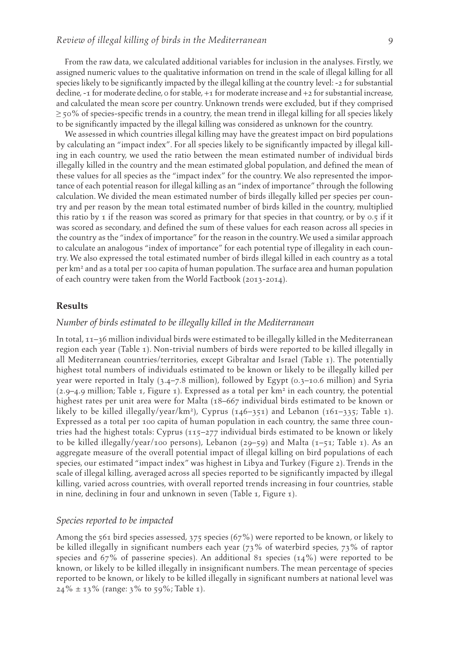From the raw data, we calculated additional variables for inclusion in the analyses. Firstly, we assigned numeric values to the qualitative information on trend in the scale of illegal killing for all species likely to be significantly impacted by the illegal killing at the country level: -2 for substantial decline, -1 for moderate decline, 0 for stable, +1 for moderate increase and +2 for substantial increase, and calculated the mean score per country. Unknown trends were excluded, but if they comprised ≥ 50% of species-specific trends in a country, the mean trend in illegal killing for all species likely to be significantly impacted by the illegal killing was considered as unknown for the country.

 We assessed in which countries illegal killing may have the greatest impact on bird populations by calculating an "impact index". For all species likely to be significantly impacted by illegal killing in each country, we used the ratio between the mean estimated number of individual birds illegally killed in the country and the mean estimated global population, and defined the mean of these values for all species as the "impact index" for the country. We also represented the importance of each potential reason for illegal killing as an "index of importance" through the following calculation. We divided the mean estimated number of birds illegally killed per species per country and per reason by the mean total estimated number of birds killed in the country, multiplied this ratio by  $\tau$  if the reason was scored as primary for that species in that country, or by 0.5 if it was scored as secondary, and defined the sum of these values for each reason across all species in the country as the "index of importance" for the reason in the country. We used a similar approach to calculate an analogous "index of importance" for each potential type of illegality in each country. We also expressed the total estimated number of birds illegal killed in each country as a total per km <sup>2</sup> and as a total per 100 capita of human population. The surface area and human population of each country were taken from the World Factbook (2013-2014).

#### **Results**

#### *Number of birds estimated to be illegally killed in the Mediterranean*

 In total, 11–36 million individual birds were estimated to be illegally killed in the Mediterranean region each year (Table 1). Non-trivial numbers of birds were reported to be killed illegally in all Mediterranean countries/territories, except Gibraltar and Israel (Table 1). The potentially highest total numbers of individuals estimated to be known or likely to be illegally killed per year were reported in Italy (3.4–7.8 million), followed by Egypt (0.3–10.6 million) and Syria  $(2.9-4.9$  million; Table 1, Figure 1). Expressed as a total per km<sup>2</sup> in each country, the potential highest rates per unit area were for Malta (18–667 individual birds estimated to be known or likely to be killed illegally/year/km<sup>2</sup>), Cyprus  $(146-351)$  and Lebanon  $(161-335)$ ; Table 1). Expressed as a total per 100 capita of human population in each country, the same three countries had the highest totals: Cyprus (115–277 individual birds estimated to be known or likely to be killed illegally/year/100 persons), Lebanon (29–59) and Malta (1–51; Table 1). As an aggregate measure of the overall potential impact of illegal killing on bird populations of each species, our estimated "impact index" was highest in Libya and Turkey (Figure 2). Trends in the scale of illegal killing, averaged across all species reported to be significantly impacted by illegal killing, varied across countries, with overall reported trends increasing in four countries, stable in nine, declining in four and unknown in seven (Table 1, Figure 1).

#### *Species reported to be impacted*

 Among the 561 bird species assessed, 375 species (67%) were reported to be known, or likely to be killed illegally in significant numbers each year (73% of waterbird species, 73% of raptor species and 67% of passerine species). An additional 81 species  $(14\%)$  were reported to be known, or likely to be killed illegally in insignificant numbers. The mean percentage of species reported to be known, or likely to be killed illegally in significant numbers at national level was  $24\% \pm 13\%$  (range:  $3\%$  to 59%; Table 1).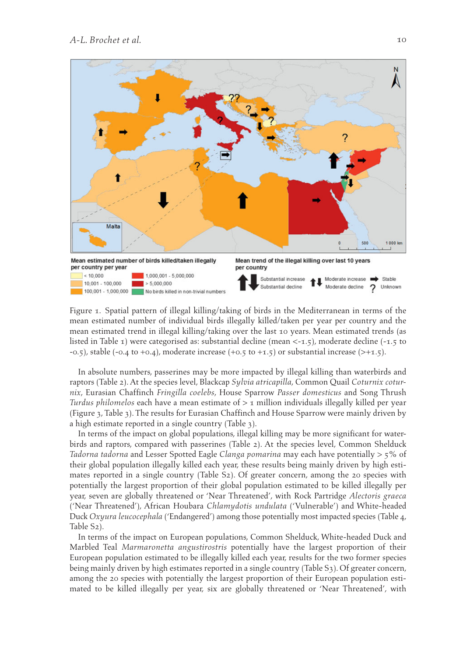

 Figure 1. Spatial pattern of illegal killing/taking of birds in the Mediterranean in terms of the mean estimated number of individual birds illegally killed/taken per year per country and the mean estimated trend in illegal killing/taking over the last 10 years. Mean estimated trends (as listed in Table 1 ) were categorised as: substantial decline (mean <-1.5), moderate decline (-1.5 to  $(-0.5)$ , stable  $(-0.4 \text{ to } +0.4)$ , moderate increase  $(+0.5 \text{ to } +1.5)$  or substantial increase  $(\geq +1.5)$ .

 In absolute numbers, passerines may be more impacted by illegal killing than waterbirds and raptors ( Table 2 ). At the species level, Blackcap *Sylvia atricapilla* , Common Quail *Coturnix coturnix* , Eurasian Chaffinch *Fringilla coelebs* , House Sparrow *Passer domesticus* and Song Thrush *Turdus philomelos* each have a mean estimate of > 1 million individuals illegally killed per year (Figure 3, Table 3). The results for Eurasian Chaffinch and House Sparrow were mainly driven by a high estimate reported in a single country (Table 3).

 In terms of the impact on global populations, illegal killing may be more significant for waterbirds and raptors, compared with passerines (Table 2). At the species level, Common Shelduck *Tadorna tadorna* and Lesser Spotted Eagle *Clanga pomarina* may each have potentially > 5% of their global population illegally killed each year, these results being mainly driven by high estimates reported in a single country (Table S2). Of greater concern, among the 20 species with potentially the largest proportion of their global population estimated to be killed illegally per year, seven are globally threatened or 'Near Threatened', with Rock Partridge *Alectoris graeca* ('Near Threatened'), African Houbara *Chlamydotis undulata* ('Vulnerable') and White-headed Duck *Oxyura leucocephala* ('Endangered') among those potentially most impacted species ( Table 4 , Table S2).

 In terms of the impact on European populations, Common Shelduck, White-headed Duck and Marbled Teal *Marmaronetta angustirostris* potentially have the largest proportion of their European population estimated to be illegally killed each year, results for the two former species being mainly driven by high estimates reported in a single country (Table S3). Of greater concern, among the 20 species with potentially the largest proportion of their European population estimated to be killed illegally per year, six are globally threatened or 'Near Threatened', with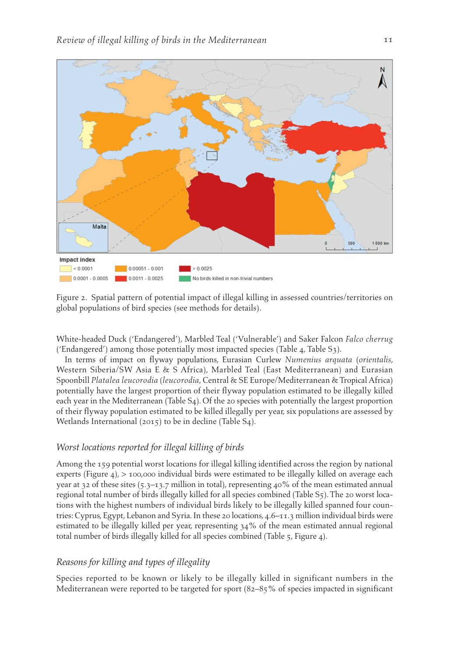

 Figure 2. Spatial pattern of potential impact of illegal killing in assessed countries/territories on global populations of bird species (see methods for details).

White-headed Duck ('Endangered'), Marbled Teal ('Vulnerable') and Saker Falcon *Falco cherrug* ('Endangered') among those potentially most impacted species (Table  $4$ , Table S3).

 In terms of impact on flyway populations, Eurasian Curlew *Numenius arquata* ( *orientalis* , Western Siberia/SW Asia E & S Africa), Marbled Teal (East Mediterranean) and Eurasian Spoonbill *Platalea leucorodia* ( *leucorodia* , Central & SE Europe/Mediterranean & Tropical Africa) potentially have the largest proportion of their flyway population estimated to be illegally killed each year in the Mediterranean (Table S4). Of the 20 species with potentially the largest proportion of their flyway population estimated to be killed illegally per year, six populations are assessed by Wetlands International (2015) to be in decline (Table S4).

# *Worst locations reported for illegal killing of birds*

 Among the 159 potential worst locations for illegal killing identified across the region by national experts (Figure 4),  $>$  100,000 individual birds were estimated to be illegally killed on average each year at 32 of these sites (5.3–13.7 million in total), representing 40% of the mean estimated annual regional total number of birds illegally killed for all species combined (Table S5). The 20 worst locations with the highest numbers of individual birds likely to be illegally killed spanned four countries: Cyprus, Egypt, Lebanon and Syria. In these 20 locations, 4.6–11.3 million individual birds were estimated to be illegally killed per year, representing 34% of the mean estimated annual regional total number of birds illegally killed for all species combined (Table  $5$ , Figure  $4$ ).

# *Reasons for killing and types of illegality*

 Species reported to be known or likely to be illegally killed in significant numbers in the Mediterranean were reported to be targeted for sport (82–85% of species impacted in significant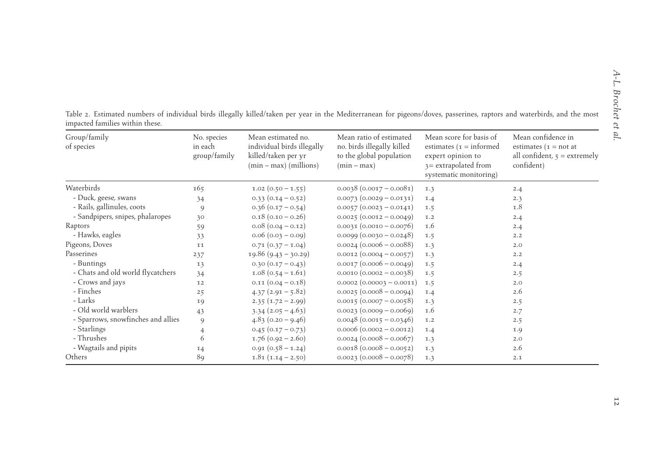| Group/family<br>of species         | No. species<br>in each<br>group/family | Mean estimated no.<br>individual birds illegally<br>killed/taken per yr<br>$(min - max)$ (millions) | Mean ratio of estimated<br>no. birds illegally killed<br>to the global population<br>$(min - max)$ | Mean score for basis of<br>estimates ( $\tau$ = informed<br>expert opinion to<br>3= extrapolated from<br>systematic monitoring) | Mean confidence in<br>estimates ( $\tau$ = not at<br>all confident, $\varsigma$ = extremely<br>confident) |
|------------------------------------|----------------------------------------|-----------------------------------------------------------------------------------------------------|----------------------------------------------------------------------------------------------------|---------------------------------------------------------------------------------------------------------------------------------|-----------------------------------------------------------------------------------------------------------|
| Waterbirds                         | 165                                    | $1.02(0.50 - 1.55)$                                                                                 | $0.0038(0.0017 - 0.0081)$                                                                          | 1.3                                                                                                                             | 2.4                                                                                                       |
| - Duck, geese, swans               | 34                                     | $0.33(0.14 - 0.52)$                                                                                 | $0.0073$ $(0.0029 - 0.0131)$                                                                       | 1.4                                                                                                                             | 2.3                                                                                                       |
| - Rails, gallinules, coots         | 9                                      | $0.36$ (0.17 – 0.54)                                                                                | $0.0057(0.0023 - 0.0141)$                                                                          | 1.5                                                                                                                             | 1.8                                                                                                       |
| - Sandpipers, snipes, phalaropes   | 30                                     | $0.18(0.10 - 0.26)$                                                                                 | $0.0025(0.0012 - 0.0049)$                                                                          | 1.2                                                                                                                             | 2.4                                                                                                       |
| Raptors                            | 59                                     | $0.08(0.04 - 0.12)$                                                                                 | $0.0031$ $(0.0010 - 0.0076)$                                                                       | 1.6                                                                                                                             | 2.4                                                                                                       |
| - Hawks, eagles                    | 33                                     | $0.06(0.03 - 0.09)$                                                                                 | $0.0099$ $(0.0030 - 0.0248)$                                                                       | 1.5                                                                                                                             | 2.2                                                                                                       |
| Pigeons, Doves                     | 11                                     | $0.71(0.37 - 1.04)$                                                                                 | $0.0024$ (0.0006 - 0.0088)                                                                         | 1.3                                                                                                                             | 2.0                                                                                                       |
| Passerines                         | 237                                    | $19.86(9.43 - 30.29)$                                                                               | $0.0012$ $(0.0004 - 0.0057)$                                                                       | 1.3                                                                                                                             | 2.2                                                                                                       |
| - Buntings                         | 13                                     | $0.30(0.17 - 0.43)$                                                                                 | $0.0017$ $(0.0006 - 0.0049)$                                                                       | 1.5                                                                                                                             | 2.4                                                                                                       |
| - Chats and old world flycatchers  | 34                                     | $1.08(0.54 - 1.61)$                                                                                 | $0.0010 (0.0002 - 0.0038)$                                                                         | 1.5                                                                                                                             | 2.5                                                                                                       |
| - Crows and jays                   | 12                                     | $0.11(0.04 - 0.18)$                                                                                 | $0.0002$ $(0.00003 - 0.0011)$                                                                      | 1.5                                                                                                                             | 2.0                                                                                                       |
| - Finches                          | 25                                     | $4.37(2.91 - 5.82)$                                                                                 | $0.0025(0.0008 - 0.0094)$                                                                          | 1.4                                                                                                                             | 2.6                                                                                                       |
| - Larks                            | 19                                     | $2.35(1.72 - 2.99)$                                                                                 | $0.0015(0.0007 - 0.0058)$                                                                          | 1.3                                                                                                                             | 2.5                                                                                                       |
| - Old world warblers               | 43                                     | $3.34(2.05-4.63)$                                                                                   | $0.0023$ $(0.0009 - 0.0069)$                                                                       | 1.6                                                                                                                             | 2.7                                                                                                       |
| - Sparrows, snowfinches and allies | 9                                      | $4.83(0.20 - 9.46)$                                                                                 | $0.0048(0.0015 - 0.0346)$                                                                          | 1.2                                                                                                                             | 2.5                                                                                                       |
| - Starlings                        | 4                                      | $0.45(0.17 - 0.73)$                                                                                 | $0.0006$ $(0.0002 - 0.0012)$                                                                       | 1.4                                                                                                                             | 1.9                                                                                                       |
| - Thrushes                         | 6                                      | $1.76(0.92 - 2.60)$                                                                                 | $0.0024$ $(0.0008 - 0.0067)$                                                                       | 1.3                                                                                                                             | 2.0                                                                                                       |
| - Wagtails and pipits              | 14                                     | $0.91(0.58 - 1.24)$                                                                                 | $0.0018(0.0008 - 0.0052)$                                                                          | 1.3                                                                                                                             | 2.6                                                                                                       |
| Others                             | 89                                     | $1.81(1.14 - 2.50)$                                                                                 | $0.0023$ $(0.0008 - 0.0078)$                                                                       | 1.3                                                                                                                             | 2.1                                                                                                       |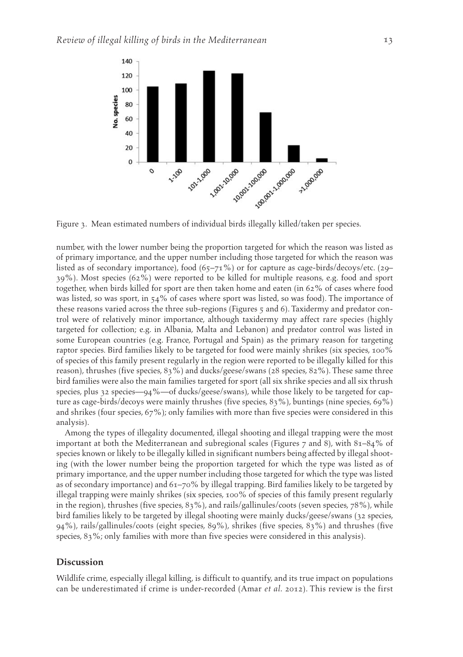

Figure 3. Mean estimated numbers of individual birds illegally killed/taken per species.

number, with the lower number being the proportion targeted for which the reason was listed as of primary importance, and the upper number including those targeted for which the reason was listed as of secondary importance), food (65–71%) or for capture as cage-birds/decoys/etc. (29– 39%). Most species (62%) were reported to be killed for multiple reasons, e.g. food and sport together, when birds killed for sport are then taken home and eaten (in 62% of cases where food was listed, so was sport, in 54% of cases where sport was listed, so was food). The importance of these reasons varied across the three sub-regions (Figures 5 and 6). Taxidermy and predator control were of relatively minor importance, although taxidermy may affect rare species (highly targeted for collection; e.g. in Albania, Malta and Lebanon) and predator control was listed in some European countries (e.g. France, Portugal and Spain) as the primary reason for targeting raptor species. Bird families likely to be targeted for food were mainly shrikes (six species, 100% of species of this family present regularly in the region were reported to be illegally killed for this reason), thrushes (five species, 83%) and ducks/geese/swans (28 species, 82%). These same three bird families were also the main families targeted for sport (all six shrike species and all six thrush species, plus 32 species—94%—of ducks/geese/swans), while those likely to be targeted for capture as cage-birds/decoys were mainly thrushes (five species, 83%), buntings (nine species, 69%) and shrikes (four species, 67%); only families with more than five species were considered in this analysis).

 Among the types of illegality documented, illegal shooting and illegal trapping were the most important at both the Mediterranean and subregional scales (Figures  $\tau$  and 8), with 81–84% of species known or likely to be illegally killed in significant numbers being affected by illegal shooting (with the lower number being the proportion targeted for which the type was listed as of primary importance, and the upper number including those targeted for which the type was listed as of secondary importance) and 61–70% by illegal trapping. Bird families likely to be targeted by illegal trapping were mainly shrikes (six species, 100% of species of this family present regularly in the region), thrushes (five species, 83%), and rails/gallinules/coots (seven species, 78%), while bird families likely to be targeted by illegal shooting were mainly ducks/geese/swans (32 species, 94%), rails/gallinules/coots (eight species, 89%), shrikes (five species, 83%) and thrushes (five species, 83%; only families with more than five species were considered in this analysis).

#### **Discussion**

 Wildlife crime, especially illegal killing, is difficult to quantify, and its true impact on populations can be underestimated if crime is under-recorded (Amar *et al.* 2012 ). This review is the first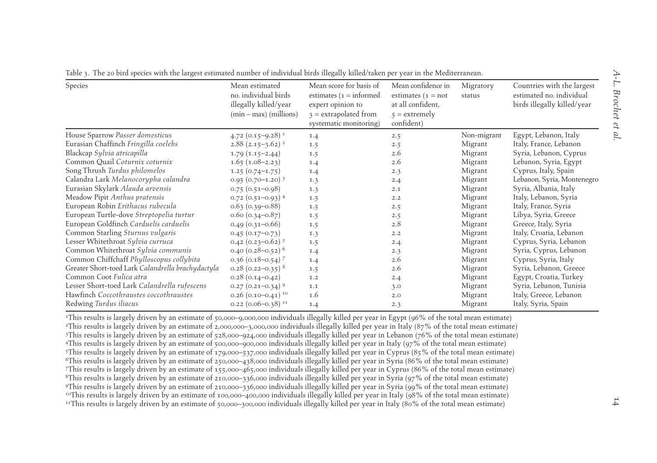| Species                                           | Mean estimated<br>no. individual birds<br>illegally killed/year<br>$(min - max)$ (millions) | Mean score for basis of<br>estimates ( $\tau$ = informed<br>expert opinion to<br>$3 =$ extrapolated from<br>systematic monitoring) | Mean confidence in<br>estimates ( $t = not$<br>at all confident,<br>$5 =$ extremely<br>confident) | Migratory<br>status | Countries with the largest<br>estimated no. individual<br>birds illegally killed/year |
|---------------------------------------------------|---------------------------------------------------------------------------------------------|------------------------------------------------------------------------------------------------------------------------------------|---------------------------------------------------------------------------------------------------|---------------------|---------------------------------------------------------------------------------------|
| House Sparrow Passer domesticus                   | $4.72$ (0.15-9.28) <sup>1</sup>                                                             | 1.4                                                                                                                                | 2.5                                                                                               | Non-migrant         | Egypt, Lebanon, Italy                                                                 |
| Eurasian Chaffinch Fringilla coelebs              | $2.88$ (2.15-3.62) <sup>2</sup>                                                             | 1.5                                                                                                                                | 2.5                                                                                               | Migrant             | Italy, France, Lebanon                                                                |
| Blackcap Sylvia atricapilla                       | $1.79(1.15 - 2.44)$                                                                         | 1.5                                                                                                                                | 2.6                                                                                               | Migrant             | Syria, Lebanon, Cyprus                                                                |
| Common Quail Coturnix coturnix                    | $1.65$ $(1.08 - 2.23)$                                                                      | 1.4                                                                                                                                | 2.6                                                                                               | Migrant             | Lebanon, Syria, Egypt                                                                 |
| Song Thrush Turdus philomelos                     | $1.25(0.74 - 1.75)$                                                                         | 1.4                                                                                                                                | 2.3                                                                                               | Migrant             | Cyprus, Italy, Spain                                                                  |
| Calandra Lark Melanocorypha calandra              | $0.95$ (0.70-1.20) 3                                                                        | 1.3                                                                                                                                | 2.4                                                                                               | Migrant             | Lebanon, Syria, Montenegro                                                            |
| Eurasian Skylark Alauda arvensis                  | $0.75(0.51-0.98)$                                                                           | 1.3                                                                                                                                | 2.1                                                                                               | Migrant             | Syria, Albania, Italy                                                                 |
| Meadow Pipit Anthus pratensis                     | $0.72$ $(0.51 - 0.93)$ 4                                                                    | 1.5                                                                                                                                | 2.2                                                                                               | Migrant             | Italy, Lebanon, Syria                                                                 |
| European Robin Erithacus rubecula                 | $0.63(0.39 - 0.88)$                                                                         | 1.5                                                                                                                                | 2.5                                                                                               | Migrant             | Italy, France, Syria                                                                  |
| European Turtle-dove Streptopelia turtur          | $0.60$ $(0.34 - 0.87)$                                                                      | 1.5                                                                                                                                | 2.5                                                                                               | Migrant             | Libya, Syria, Greece                                                                  |
| European Goldfinch Carduelis carduelis            | $0.49(0.31 - 0.66)$                                                                         | 1.5                                                                                                                                | 2.8                                                                                               | Migrant             | Greece, Italy, Syria                                                                  |
| Common Starling Sturnus vulgaris                  | $0.45(0.17-0.73)$                                                                           | 1.3                                                                                                                                | 2.2                                                                                               | Migrant             | Italy, Croatia, Lebanon                                                               |
| Lesser Whitethroat Sylvia curruca                 | $0.42$ (0.23–0.62) <sup>5</sup>                                                             | 1.5                                                                                                                                | 2.4                                                                                               | Migrant             | Cyprus, Syria, Lebanon                                                                |
| Common Whitethroat Sylvia communis                | 0.40 $(0.28 - 0.52)^6$                                                                      | 1.4                                                                                                                                | 2.3                                                                                               | Migrant             | Syria, Cyprus, Lebanon                                                                |
| Common Chiffchaff Phylloscopus collybita          | $0.36$ (0.18-0.54) <sup>7</sup>                                                             | 1.4                                                                                                                                | 2.6                                                                                               | Migrant             | Cyprus, Syria, Italy                                                                  |
| Greater Short-toed Lark Calandrella brachydactyla | $0.28$ (0.22–0.35) <sup>8</sup>                                                             | 1.5                                                                                                                                | 2.6                                                                                               | Migrant             | Syria, Lebanon, Greece                                                                |
| Common Coot Fulica atra                           | $0.28(0.14 - 0.42)$                                                                         | 1.2                                                                                                                                | 2.4                                                                                               | Migrant             | Egypt, Croatia, Turkey                                                                |
| Lesser Short-toed Lark Calandrella rufescens      | $0.27$ $(0.21 - 0.34)$ 9                                                                    | 1.1                                                                                                                                | 3.0                                                                                               | Migrant             | Syria, Lebanon, Tunisia                                                               |
| Hawfinch Coccothraustes coccothraustes            | $0.26$ (0.10-0.41) <sup>10</sup>                                                            | 1.6                                                                                                                                | 2.0                                                                                               | Migrant             | Italy, Greece, Lebanon                                                                |
| Redwing Turdus iliacus                            | $0.22$ (0.06-0.38) <sup>11</sup>                                                            | 1.4                                                                                                                                | 2.3                                                                                               | Migrant             | Italy, Syria, Spain                                                                   |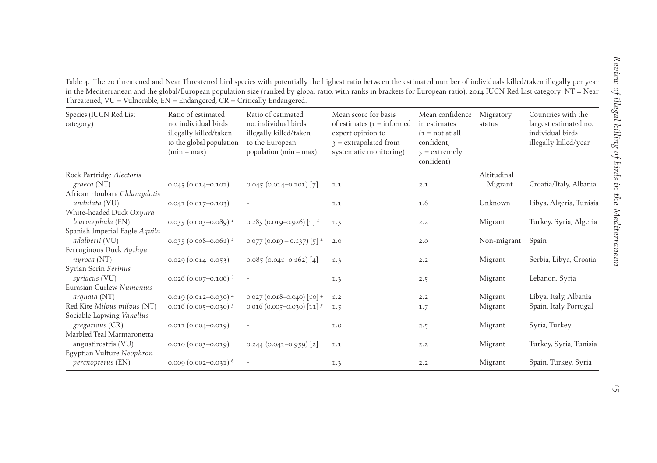| Species (IUCN Red List<br>category)                                      | Ratio of estimated<br>no. individual birds<br>illegally killed/taken<br>to the global population<br>$(min - max)$ | Ratio of estimated<br>no. individual birds<br>illegally killed/taken<br>to the European<br>population (min – max) | Mean score for basis<br>of estimates $(1 = informed$<br>expert opinion to<br>$3 =$ extrapolated from<br>systematic monitoring) | Mean confidence<br>in estimates<br>$(x = not at all)$<br>confident,<br>$5 =$ extremely<br>confident) | Migratory<br>status    | Countries with the<br>largest estimated no.<br>individual birds<br>illegally killed/year |
|--------------------------------------------------------------------------|-------------------------------------------------------------------------------------------------------------------|-------------------------------------------------------------------------------------------------------------------|--------------------------------------------------------------------------------------------------------------------------------|------------------------------------------------------------------------------------------------------|------------------------|------------------------------------------------------------------------------------------|
| Rock Partridge Alectoris<br>graeca (NT)                                  | $0.045(0.014 - 0.101)$                                                                                            | $0.045$ (0.014-0.101) [7]                                                                                         | $1.1\,$                                                                                                                        | 2.1                                                                                                  | Altitudinal<br>Migrant | Croatia/Italy, Albania                                                                   |
| African Houbara Chlamydotis<br>undulata (VU)<br>White-headed Duck Oxyura | $0.041(0.017 - 0.103)$                                                                                            |                                                                                                                   | $1.1\,$                                                                                                                        | 1.6                                                                                                  | Unknown                | Libya, Algeria, Tunisia                                                                  |
| leucocephala (EN)<br>Spanish Imperial Eagle Aquila                       | $0.035$ (0.003-0.089) <sup>1</sup>                                                                                | $0.285$ (0.019-0.926) [1] <sup>1</sup>                                                                            | 1.3                                                                                                                            | 2.2                                                                                                  | Migrant                | Turkey, Syria, Algeria                                                                   |
| adalberti (VU)<br>Ferruginous Duck Aythya                                | $0.035$ (0.008-0.061) <sup>2</sup>                                                                                | $0.077$ $(0.019 - 0.137)$ $[5]$ <sup>2</sup>                                                                      | 2.0                                                                                                                            | 2.0                                                                                                  | Non-migrant            | Spain                                                                                    |
| nyroca (NT)<br>Syrian Serin Serinus                                      | $0.029(0.014 - 0.053)$                                                                                            | $0.085$ (0.041-0.162) [4]                                                                                         | 1.3                                                                                                                            | 2.2                                                                                                  | Migrant                | Serbia, Libya, Croatia                                                                   |
| syriacus (VU)<br>Eurasian Curlew Numenius                                | $0.026$ (0.007-0.106) 3                                                                                           |                                                                                                                   | 1.3                                                                                                                            | 2.5                                                                                                  | Migrant                | Lebanon, Syria                                                                           |
| arquata (NT)                                                             | $0.019(0.012 - 0.030)^4$                                                                                          | $0.027$ (0.018-0.040) [10] 4                                                                                      | 1.2                                                                                                                            | 2.2                                                                                                  | Migrant                | Libya, Italy, Albania                                                                    |
| Red Kite Milvus milvus (NT)<br>Sociable Lapwing Vanellus                 | $0.016$ (0.005-0.030) <sup>5</sup>                                                                                | $0.016$ (0.005-0.030) [11] $5$                                                                                    | 1.5                                                                                                                            | 1.7                                                                                                  | Migrant                | Spain, Italy Portugal                                                                    |
| gregarious (CR)<br>Marbled Teal Marmaronetta                             | $0.011 (0.004 - 0.019)$                                                                                           |                                                                                                                   | 1.0                                                                                                                            | 2.5                                                                                                  | Migrant                | Syria, Turkey                                                                            |
| angustirostris (VU)<br>Egyptian Vulture Neophron                         | $0.010(0.003 - 0.019)$                                                                                            | $0.244$ (0.041-0.959) [2]                                                                                         | $1.1\,$                                                                                                                        | 2.2                                                                                                  | Migrant                | Turkey, Syria, Tunisia                                                                   |
| percnopterus (EN)                                                        | $0.009$ $(0.002 - 0.031)^6$                                                                                       |                                                                                                                   | 1.3                                                                                                                            | 2.2                                                                                                  | Migrant                | Spain, Turkey, Syria                                                                     |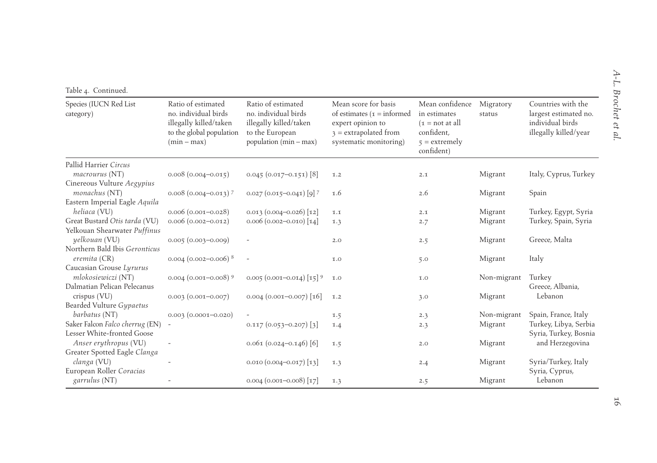| Species (IUCN Red List<br>category)           | Ratio of estimated<br>no. individual birds<br>illegally killed/taken<br>to the global population<br>$(min - max)$ | Ratio of estimated<br>no. individual birds<br>illegally killed/taken<br>to the European<br>population (min – max) | Mean score for basis<br>of estimates $(1 = informed)$<br>expert opinion to<br>$3$ = extrapolated from<br>systematic monitoring) | Mean confidence<br>in estimates<br>$\left(1 = \text{not at all}\right)$<br>confident,<br>$5 =$ extremely<br>confident) | Migratory<br>status | Countries with the<br>largest estimated no.<br>individual birds<br>illegally killed/year |
|-----------------------------------------------|-------------------------------------------------------------------------------------------------------------------|-------------------------------------------------------------------------------------------------------------------|---------------------------------------------------------------------------------------------------------------------------------|------------------------------------------------------------------------------------------------------------------------|---------------------|------------------------------------------------------------------------------------------|
| Pallid Harrier Circus                         |                                                                                                                   |                                                                                                                   |                                                                                                                                 |                                                                                                                        |                     |                                                                                          |
| macrourus (NT)                                | $0.008(0.004 - 0.015)$                                                                                            | $0.045$ (0.017-0.151) [8]                                                                                         | 1.2                                                                                                                             | 2.1                                                                                                                    | Migrant             | Italy, Cyprus, Turkey                                                                    |
| Cinereous Vulture Aegypius                    |                                                                                                                   |                                                                                                                   |                                                                                                                                 |                                                                                                                        |                     |                                                                                          |
| monachus (NT)                                 | $0.008$ $(0.004 - 0.013)$ 7                                                                                       | $0.027$ (0.015-0.041) [9] 7                                                                                       | 1.6                                                                                                                             | 2.6                                                                                                                    | Migrant             | Spain                                                                                    |
| Eastern Imperial Eagle Aquila                 |                                                                                                                   |                                                                                                                   |                                                                                                                                 |                                                                                                                        |                     |                                                                                          |
| heliaca (VU)<br>Great Bustard Otis tarda (VU) | $0.006$ $(0.001 - 0.028)$<br>$0.006$ $(0.002 - 0.012)$                                                            | $0.013$ $(0.004 - 0.026)$ [12]                                                                                    | 1.1                                                                                                                             | 2.1                                                                                                                    | Migrant             | Turkey, Egypt, Syria                                                                     |
| Yelkouan Shearwater Puffinus                  |                                                                                                                   | $0.006$ $(0.002 - 0.010)$ $[14]$                                                                                  | 1.3                                                                                                                             | 2.7                                                                                                                    | Migrant             | Turkey, Spain, Syria                                                                     |
| yelkouan (VU)                                 | $0.005(0.003 - 0.009)$                                                                                            |                                                                                                                   | 2.0                                                                                                                             |                                                                                                                        | Migrant             | Greece, Malta                                                                            |
| Northern Bald Ibis Geronticus                 |                                                                                                                   |                                                                                                                   |                                                                                                                                 | 2.5                                                                                                                    |                     |                                                                                          |
| eremita (CR)                                  | $0.004$ (0.002-0.006) $8$                                                                                         |                                                                                                                   | 1.0                                                                                                                             | 5.0                                                                                                                    | Migrant             | Italy                                                                                    |
| Caucasian Grouse Lyrurus                      |                                                                                                                   |                                                                                                                   |                                                                                                                                 |                                                                                                                        |                     |                                                                                          |
| mlokosiewiczi (NT)                            | $0.004$ (0.001-0.008) 9                                                                                           | $0.005$ $(0.001 - 0.014)$ $[15]$ <sup>9</sup>                                                                     | 1.0                                                                                                                             | 1.0                                                                                                                    | Non-migrant         | Turkey                                                                                   |
| Dalmatian Pelican Pelecanus                   |                                                                                                                   |                                                                                                                   |                                                                                                                                 |                                                                                                                        |                     | Greece, Albania,                                                                         |
| crispus (VU)                                  | $0.003$ $(0.001 - 0.007)$                                                                                         | $0.004$ $(0.001 - 0.007)$ [16]                                                                                    | 1.2                                                                                                                             | 3.0                                                                                                                    | Migrant             | Lebanon                                                                                  |
| Bearded Vulture Gypaetus                      |                                                                                                                   |                                                                                                                   |                                                                                                                                 |                                                                                                                        |                     |                                                                                          |
| barbatus (NT)                                 | $0.003$ $(0.0001 - 0.020)$                                                                                        |                                                                                                                   | 1.5                                                                                                                             | 2.3                                                                                                                    | Non-migrant         | Spain, France, Italy                                                                     |
| Saker Falcon Falco cherrug (EN)               |                                                                                                                   | $0.117(0.053 - 0.207)[3]$                                                                                         | 1.4                                                                                                                             | 2.3                                                                                                                    | Migrant             | Turkey, Libya, Serbia                                                                    |
| Lesser White-fronted Goose                    |                                                                                                                   |                                                                                                                   |                                                                                                                                 |                                                                                                                        |                     | Syria, Turkey, Bosnia                                                                    |
| Anser erythropus (VU)                         |                                                                                                                   | $0.061$ $(0.024 - 0.146)$ [6]                                                                                     | 1.5                                                                                                                             | 2.0                                                                                                                    | Migrant             | and Herzegovina                                                                          |
| Greater Spotted Eagle Clanga                  |                                                                                                                   |                                                                                                                   |                                                                                                                                 |                                                                                                                        |                     |                                                                                          |
| clanga (VU)                                   |                                                                                                                   | $0.010$ $(0.004 - 0.017)$ [13]                                                                                    | 1.3                                                                                                                             | 2.4                                                                                                                    | Migrant             | Syria/Turkey, Italy                                                                      |
| European Roller Coracias                      |                                                                                                                   |                                                                                                                   |                                                                                                                                 |                                                                                                                        |                     | Syria, Cyprus,                                                                           |
| garrulus (NT)                                 |                                                                                                                   | $0.004$ $(0.001 - 0.008)$ [17]                                                                                    | 1.3                                                                                                                             | 2.5                                                                                                                    | Migrant             | Lebanon                                                                                  |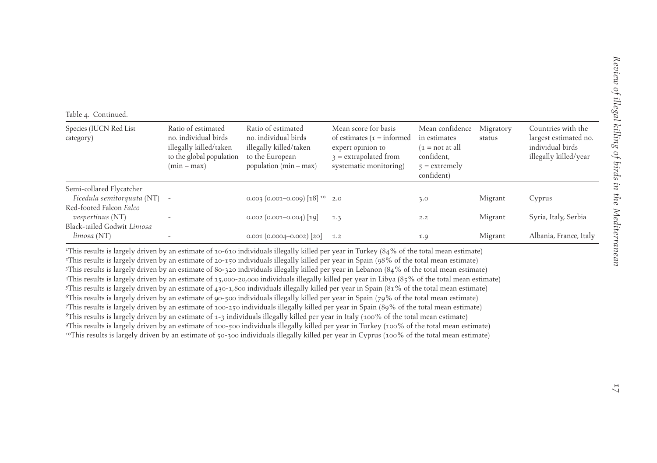| Species (IUCN Red List<br>category)                                                                                                                                                                                                                                                                                                                                                                                                                                                                                                                                                                                                                                                                                                                                                                                                                                                                                                                                                                                                                                                                                                                                                                                                                                                                                                                                                                                                                                                                                                                           | Ratio of estimated<br>no. individual birds<br>illegally killed/taken<br>to the global population<br>$(min - max)$ | Ratio of estimated<br>no. individual birds<br>illegally killed/taken<br>to the European<br>population (min – max) | Mean score for basis<br>of estimates ( $\tau$ = informed<br>expert opinion to<br>$3$ = extrapolated from<br>systematic monitoring) | Mean confidence<br>in estimates<br>$\left(1 = \text{not at all}\right)$<br>confident,<br>$5 =$ extremely<br>confident) | Migratory<br>status | Countries with the<br>largest estimated no.<br>individual birds<br>illegally killed/year |
|---------------------------------------------------------------------------------------------------------------------------------------------------------------------------------------------------------------------------------------------------------------------------------------------------------------------------------------------------------------------------------------------------------------------------------------------------------------------------------------------------------------------------------------------------------------------------------------------------------------------------------------------------------------------------------------------------------------------------------------------------------------------------------------------------------------------------------------------------------------------------------------------------------------------------------------------------------------------------------------------------------------------------------------------------------------------------------------------------------------------------------------------------------------------------------------------------------------------------------------------------------------------------------------------------------------------------------------------------------------------------------------------------------------------------------------------------------------------------------------------------------------------------------------------------------------|-------------------------------------------------------------------------------------------------------------------|-------------------------------------------------------------------------------------------------------------------|------------------------------------------------------------------------------------------------------------------------------------|------------------------------------------------------------------------------------------------------------------------|---------------------|------------------------------------------------------------------------------------------|
| Semi-collared Flycatcher<br>Ficedula semitorquata (NT)<br>Red-footed Falcon Falco                                                                                                                                                                                                                                                                                                                                                                                                                                                                                                                                                                                                                                                                                                                                                                                                                                                                                                                                                                                                                                                                                                                                                                                                                                                                                                                                                                                                                                                                             | $\overline{\phantom{a}}$                                                                                          | $0.003$ $(0.001 - 0.009)$ $[18]$ <sup>10</sup> 2.0                                                                |                                                                                                                                    | 3.0                                                                                                                    | Migrant             | Cyprus                                                                                   |
| vespertinus (NT)<br>Black-tailed Godwit Limosa<br>limosa(NT)                                                                                                                                                                                                                                                                                                                                                                                                                                                                                                                                                                                                                                                                                                                                                                                                                                                                                                                                                                                                                                                                                                                                                                                                                                                                                                                                                                                                                                                                                                  |                                                                                                                   | $0.002$ $(0.001 - 0.004)$ [19]<br>$0.001$ $(0.0004 - 0.002)$ $[20]$                                               | 1.3<br>1.2                                                                                                                         | 2.2<br>1.9                                                                                                             | Migrant<br>Migrant  | Syria, Italy, Serbia<br>Albania, France, Italy                                           |
| <sup>1</sup> This results is largely driven by an estimate of 10-610 individuals illegally killed per year in Turkey (84% of the total mean estimate)<br><sup>2</sup> This results is largely driven by an estimate of 20-150 individuals illegally killed per year in Spain (98% of the total mean estimate)<br><sup>3</sup> This results is largely driven by an estimate of 80-320 individuals illegally killed per year in Lebanon (84% of the total mean estimate)<br>4This results is largely driven by an estimate of 15,000-20,000 individuals illegally killed per year in Libya (85% of the total mean estimate)<br><sup>5</sup> This results is largely driven by an estimate of 430-1,800 individuals illegally killed per year in Spain (81% of the total mean estimate)<br><sup>6</sup> This results is largely driven by an estimate of 90-500 individuals illegally killed per year in Spain (79% of the total mean estimate)<br>7This results is largely driven by an estimate of 100-250 individuals illegally killed per year in Spain (89% of the total mean estimate)<br><sup>8</sup> This results is largely driven by an estimate of $1$ -3 individuals illegally killed per year in Italy (100% of the total mean estimate)<br>9This results is largely driven by an estimate of 100-500 individuals illegally killed per year in Turkey (100% of the total mean estimate)<br><sup>10</sup> This results is largely driven by an estimate of 50-300 individuals illegally killed per year in Cyprus (100% of the total mean estimate) |                                                                                                                   |                                                                                                                   |                                                                                                                                    |                                                                                                                        |                     |                                                                                          |
|                                                                                                                                                                                                                                                                                                                                                                                                                                                                                                                                                                                                                                                                                                                                                                                                                                                                                                                                                                                                                                                                                                                                                                                                                                                                                                                                                                                                                                                                                                                                                               |                                                                                                                   |                                                                                                                   |                                                                                                                                    |                                                                                                                        |                     |                                                                                          |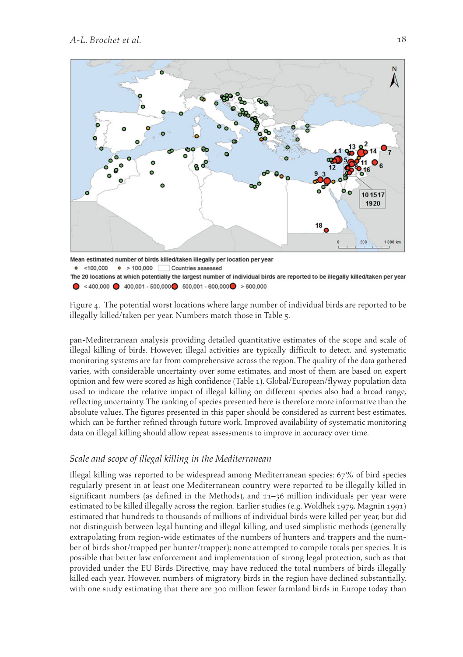

Mean estimated number of birds killed/taken illegally per location per year  $\circ$  <100.000  $\bullet$  > 100,000 Countries assessed The 20 locations at which potentially the largest number of individual birds are reported to be illegally killed/taken per year  $< 400,000$  400,001 - 500,000 500,001 - 600,000 > 600,000

 Figure 4. The potential worst locations where large number of individual birds are reported to be illegally killed/taken per year. Numbers match those in Table 5.

pan-Mediterranean analysis providing detailed quantitative estimates of the scope and scale of illegal killing of birds. However, illegal activities are typically difficult to detect, and systematic monitoring systems are far from comprehensive across the region. The quality of the data gathered varies, with considerable uncertainty over some estimates, and most of them are based on expert opinion and few were scored as high confidence ( Table 1 ). Global/European/flyway population data used to indicate the relative impact of illegal killing on different species also had a broad range, reflecting uncertainty. The ranking of species presented here is therefore more informative than the absolute values. The figures presented in this paper should be considered as current best estimates, which can be further refined through future work. Improved availability of systematic monitoring data on illegal killing should allow repeat assessments to improve in accuracy over time.

#### *Scale and scope of illegal killing in the Mediterranean*

 Illegal killing was reported to be widespread among Mediterranean species: 67% of bird species regularly present in at least one Mediterranean country were reported to be illegally killed in significant numbers (as defined in the Methods), and  $11-36$  million individuals per year were estimated to be killed illegally across the region. Earlier studies (e.g. Woldhek 1979 , Magnin 1991 ) estimated that hundreds to thousands of millions of individual birds were killed per year, but did not distinguish between legal hunting and illegal killing, and used simplistic methods (generally extrapolating from region-wide estimates of the numbers of hunters and trappers and the number of birds shot/trapped per hunter/trapper); none attempted to compile totals per species. It is possible that better law enforcement and implementation of strong legal protection, such as that provided under the EU Birds Directive, may have reduced the total numbers of birds illegally killed each year. However, numbers of migratory birds in the region have declined substantially, with one study estimating that there are 300 million fewer farmland birds in Europe today than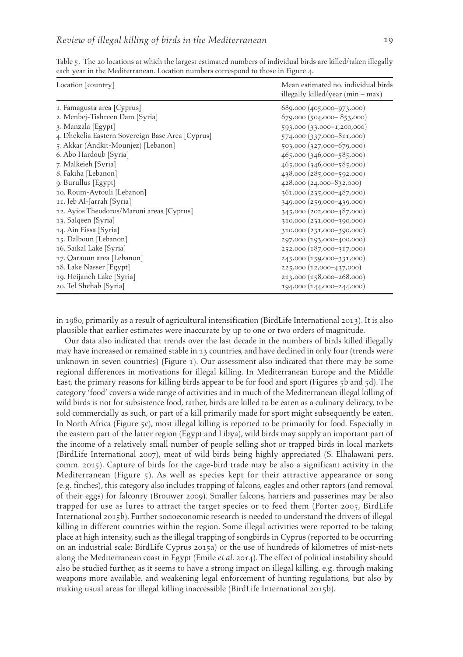| Location [country]                               | Mean estimated no. individual birds<br>illegally killed/year (min – max) |
|--------------------------------------------------|--------------------------------------------------------------------------|
| 1. Famagusta area [Cyprus]                       | 689,000 (405,000-973,000)                                                |
| 2. Menbej-Tishreen Dam [Syria]                   | 679,000 (504,000-853,000)                                                |
| 3. Manzala [Egypt]                               | 593,000 (33,000-1,200,000)                                               |
| 4. Dhekelia Eastern Sovereign Base Area [Cyprus] | 574,000 (337,000-811,000)                                                |
| 5. Akkar (Andkit-Mounjez) [Lebanon]              | 503,000 (327,000-679,000)                                                |
| 6. Abo Hardoub [Syria]                           | 465,000 (346,000-585,000)                                                |
| 7. Malkeieh [Syria]                              | 465,000 (346,000-585,000)                                                |
| 8. Fakiha [Lebanon]                              | 438,000 (285,000-592,000)                                                |
| 9. Burullus [Egypt]                              | 428,000 (24,000-832,000)                                                 |
| 10. Roum-Aytouli [Lebanon]                       | 361,000 (235,000-487,000)                                                |
| 11. Jeb Al-Jarrah [Syria]                        | 349,000 (259,000-439,000)                                                |
| 12. Ayios Theodoros/Maroni areas [Cyprus]        | 345,000 (202,000-487,000)                                                |
| 13. Salqeen [Syria]                              | 310,000 (231,000-390,000)                                                |
| 14. Ain Eissa [Syria]                            | 310,000 (231,000-390,000)                                                |
| 15. Dalboun [Lebanon]                            | 297,000 (193,000-400,000)                                                |
| 16. Saikal Lake [Syria]                          | 252,000 (187,000-317,000)                                                |
| 17. Qaraoun area [Lebanon]                       | 245,000 (159,000-331,000)                                                |
| 18. Lake Nasser [Egypt]                          | 225,000 (12,000-437,000)                                                 |
| 19. Heijaneh Lake [Syria]                        | 213,000 (158,000-268,000)                                                |
| 20. Tel Shehab [Syria]                           | 194,000 (144,000-244,000)                                                |

 Table 5. The 20 locations at which the largest estimated numbers of individual birds are killed/taken illegally each year in the Mediterranean. Location numbers correspond to those in Figure 4.

in 1980, primarily as a result of agricultural intensification (BirdLife International 2013 ). It is also plausible that earlier estimates were inaccurate by up to one or two orders of magnitude.

 Our data also indicated that trends over the last decade in the numbers of birds killed illegally may have increased or remained stable in 13 countries, and have declined in only four (trends were unknown in seven countries) (Figure  $\alpha$ ). Our assessment also indicated that there may be some regional differences in motivations for illegal killing. In Mediterranean Europe and the Middle East, the primary reasons for killing birds appear to be for food and sport ( Figures 5b and 5d ). The category 'food' covers a wide range of activities and in much of the Mediterranean illegal killing of wild birds is not for subsistence food, rather, birds are killed to be eaten as a culinary delicacy, to be sold commercially as such, or part of a kill primarily made for sport might subsequently be eaten. In North Africa (Figure 5c), most illegal killing is reported to be primarily for food. Especially in the eastern part of the latter region (Egypt and Libya), wild birds may supply an important part of the income of a relatively small number of people selling shot or trapped birds in local markets (BirdLife International 2007), meat of wild birds being highly appreciated (S. Elhalawani pers. comm. 2015). Capture of birds for the cage-bird trade may be also a significant activity in the Mediterranean (Figure  $5$ ). As well as species kept for their attractive appearance or song (e.g. finches), this category also includes trapping of falcons, eagles and other raptors (and removal of their eggs) for falconry (Brouwer 2009). Smaller falcons, harriers and passerines may be also trapped for use as lures to attract the target species or to feed them (Porter 2005, BirdLife International 2015b). Further socioeconomic research is needed to understand the drivers of illegal killing in different countries within the region. Some illegal activities were reported to be taking place at high intensity, such as the illegal trapping of songbirds in Cyprus (reported to be occurring on an industrial scale; BirdLife Cyprus 2015a ) or the use of hundreds of kilometres of mist-nets along the Mediterranean coast in Egypt (Emile *et al.* 2014 ). The effect of political instability should also be studied further, as it seems to have a strong impact on illegal killing, e.g. through making weapons more available, and weakening legal enforcement of hunting regulations, but also by making usual areas for illegal killing inaccessible (BirdLife International 2015b).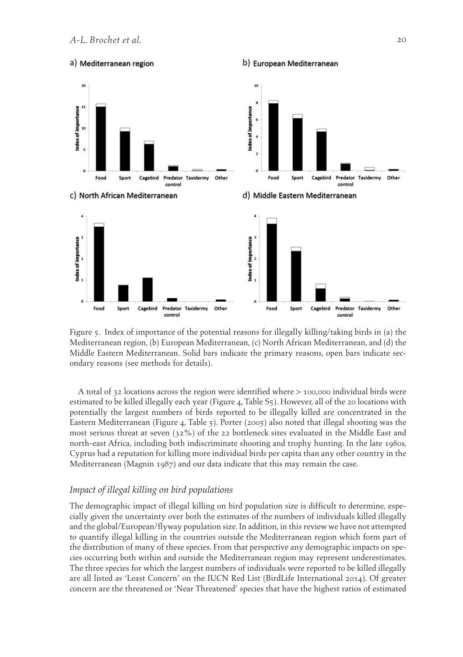

 Figure 5. Index of importance of the potential reasons for illegally killing/taking birds in (a) the Mediterranean region, (b) European Mediterranean, (c) North African Mediterranean, and (d) the Middle Eastern Mediterranean. Solid bars indicate the primary reasons, open bars indicate secondary reasons (see methods for details).

 A total of 32 locations across the region were identified where > 100,000 individual birds were estimated to be killed illegally each year (Figure  $4$ , Table  $55$ ). However, all of the 20 locations with potentially the largest numbers of birds reported to be illegally killed are concentrated in the Eastern Mediterranean (Figure 4, Table 5). Porter (2005) also noted that illegal shooting was the most serious threat at seven (32%) of the 22 bottleneck sites evaluated in the Middle East and north-east Africa, including both indiscriminate shooting and trophy hunting. In the late 1980s, Cyprus had a reputation for killing more individual birds per capita than any other country in the Mediterranean (Magnin 1987) and our data indicate that this may remain the case.

#### *Impact of illegal killing on bird populations*

 The demographic impact of illegal killing on bird population size is difficult to determine, especially given the uncertainty over both the estimates of the numbers of individuals killed illegally and the global/European/flyway population size. In addition, in this review we have not attempted to quantify illegal killing in the countries outside the Mediterranean region which form part of the distribution of many of these species. From that perspective any demographic impacts on species occurring both within and outside the Mediterranean region may represent underestimates. The three species for which the largest numbers of individuals were reported to be killed illegally are all listed as 'Least Concern' on the IUCN Red List (BirdLife International 2014 ). Of greater concern are the threatened or 'Near Threatened' species that have the highest ratios of estimated

b) European Mediterranean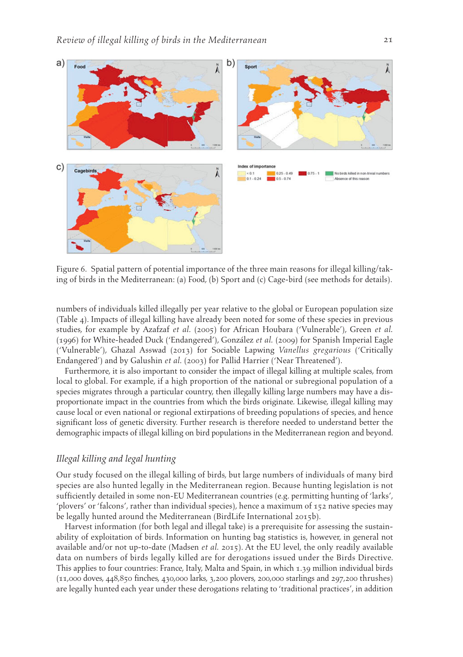

 Figure 6. Spatial pattern of potential importance of the three main reasons for illegal killing/taking of birds in the Mediterranean: (a) Food, (b) Sport and (c) Cage-bird (see methods for details).

numbers of individuals killed illegally per year relative to the global or European population size ( Table 4 ). Impacts of illegal killing have already been noted for some of these species in previous studies, for example by Azafzaf *et al.* ( 2005 ) for African Houbara ('Vulnerable'), Green *et al.* ( 1996 ) for White-headed Duck ('Endangered'), González *et al.* ( 2009 ) for Spanish Imperial Eagle ('Vulnerable'), Ghazal Asswad ( 2013 ) for Sociable Lapwing *Vanellus gregarious* ('Critically Endangered') and by Galushin et al. (2003) for Pallid Harrier ('Near Threatened').

 Furthermore, it is also important to consider the impact of illegal killing at multiple scales, from local to global. For example, if a high proportion of the national or subregional population of a species migrates through a particular country, then illegally killing large numbers may have a disproportionate impact in the countries from which the birds originate. Likewise, illegal killing may cause local or even national or regional extirpations of breeding populations of species, and hence significant loss of genetic diversity. Further research is therefore needed to understand better the demographic impacts of illegal killing on bird populations in the Mediterranean region and beyond.

#### *Illegal killing and legal hunting*

 Our study focused on the illegal killing of birds, but large numbers of individuals of many bird species are also hunted legally in the Mediterranean region. Because hunting legislation is not sufficiently detailed in some non-EU Mediterranean countries (e.g. permitting hunting of 'larks', 'plovers' or 'falcons', rather than individual species), hence a maximum of 152 native species may be legally hunted around the Mediterranean (BirdLife International 2015b).

 Harvest information (for both legal and illegal take) is a prerequisite for assessing the sustainability of exploitation of birds. Information on hunting bag statistics is, however, in general not available and/or not up-to-date (Madsen *et al.* 2015 ). At the EU level, the only readily available data on numbers of birds legally killed are for derogations issued under the Birds Directive. This applies to four countries: France, Italy, Malta and Spain, in which 1.39 million individual birds (11,000 doves, 448,850 finches, 430,000 larks, 3,200 plovers, 200,000 starlings and 297,200 thrushes) are legally hunted each year under these derogations relating to 'traditional practices', in addition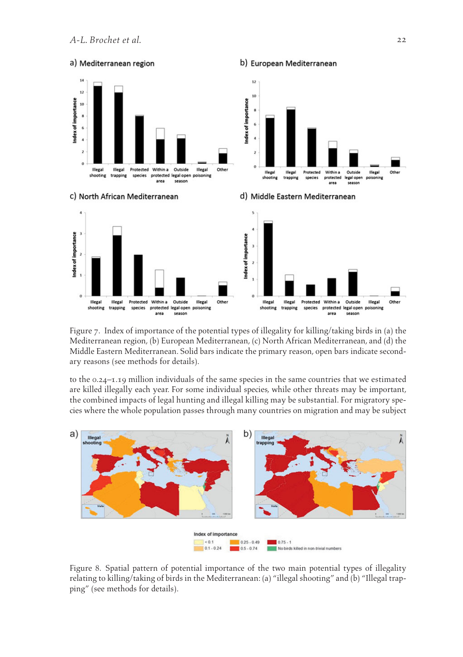

 Figure 7. Index of importance of the potential types of illegality for killing/taking birds in (a) the Mediterranean region, (b) European Mediterranean, (c) North African Mediterranean, and (d) the Middle Eastern Mediterranean. Solid bars indicate the primary reason, open bars indicate secondary reasons (see methods for details).

to the 0.24–1.19 million individuals of the same species in the same countries that we estimated are killed illegally each year. For some individual species, while other threats may be important, the combined impacts of legal hunting and illegal killing may be substantial. For migratory species where the whole population passes through many countries on migration and may be subject



 Figure 8. Spatial pattern of potential importance of the two main potential types of illegality relating to killing/taking of birds in the Mediterranean: (a) "illegal shooting" and (b) "Illegal trapping" (see methods for details).

b) European Mediterranean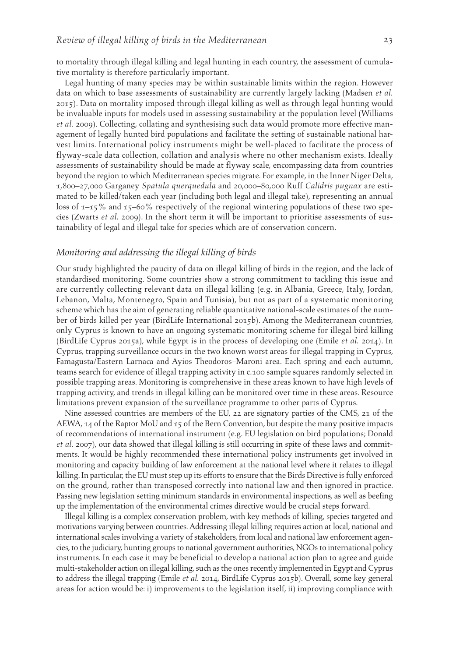to mortality through illegal killing and legal hunting in each country, the assessment of cumulative mortality is therefore particularly important.

 Legal hunting of many species may be within sustainable limits within the region. However data on which to base assessments of sustainability are currently largely lacking (Madsen *et al.* 2015 ). Data on mortality imposed through illegal killing as well as through legal hunting would be invaluable inputs for models used in assessing sustainability at the population level (Williams et al. 2009). Collecting, collating and synthesising such data would promote more effective management of legally hunted bird populations and facilitate the setting of sustainable national harvest limits. International policy instruments might be well-placed to facilitate the process of flyway-scale data collection, collation and analysis where no other mechanism exists. Ideally assessments of sustainability should be made at flyway scale, encompassing data from countries beyond the region to which Mediterranean species migrate. For example, in the Inner Niger Delta, 1,800–27,000 Garganey *Spatula querquedula* and 20,000–80,000 Ruff *Calidris pugnax* are estimated to be killed/taken each year (including both legal and illegal take), representing an annual loss of  $1-15\%$  and  $15-60\%$  respectively of the regional wintering populations of these two species (Zwarts *et al.* 2009). In the short term it will be important to prioritise assessments of sustainability of legal and illegal take for species which are of conservation concern.

#### *Monitoring and addressing the illegal killing of birds*

 Our study highlighted the paucity of data on illegal killing of birds in the region, and the lack of standardised monitoring. Some countries show a strong commitment to tackling this issue and are currently collecting relevant data on illegal killing (e.g. in Albania, Greece, Italy, Jordan, Lebanon, Malta, Montenegro, Spain and Tunisia), but not as part of a systematic monitoring scheme which has the aim of generating reliable quantitative national-scale estimates of the number of birds killed per year (BirdLife International 2015b). Among the Mediterranean countries, only Cyprus is known to have an ongoing systematic monitoring scheme for illegal bird killing (BirdLife Cyprus 2015a ), while Egypt is in the process of developing one (Emile *et al.* 2014 ). In Cyprus, trapping surveillance occurs in the two known worst areas for illegal trapping in Cyprus, Famagusta/Eastern Larnaca and Ayios Theodoros–Maroni area. Each spring and each autumn, teams search for evidence of illegal trapping activity in c.100 sample squares randomly selected in possible trapping areas. Monitoring is comprehensive in these areas known to have high levels of trapping activity, and trends in illegal killing can be monitored over time in these areas. Resource limitations prevent expansion of the surveillance programme to other parts of Cyprus.

 Nine assessed countries are members of the EU, 22 are signatory parties of the CMS, 21 of the AEWA, 14 of the Raptor MoU and 15 of the Bern Convention, but despite the many positive impacts of recommendations of international instrument (e.g. EU legislation on bird populations; Donald *et al.* 2007), our data showed that illegal killing is still occurring in spite of these laws and commitments. It would be highly recommended these international policy instruments get involved in monitoring and capacity building of law enforcement at the national level where it relates to illegal killing. In particular, the EU must step up its efforts to ensure that the Birds Directive is fully enforced on the ground, rather than transposed correctly into national law and then ignored in practice. Passing new legislation setting minimum standards in environmental inspections, as well as beefing up the implementation of the environmental crimes directive would be crucial steps forward.

 Illegal killing is a complex conservation problem, with key methods of killing, species targeted and motivations varying between countries. Addressing illegal killing requires action at local, national and international scales involving a variety of stakeholders, from local and national law enforcement agencies, to the judiciary, hunting groups to national government authorities, NGOs to international policy instruments. In each case it may be beneficial to develop a national action plan to agree and guide multi-stakeholder action on illegal killing, such as the ones recently implemented in Egypt and Cyprus to address the illegal trapping (Emile *et al.* 2014, BirdLife Cyprus 2015b). Overall, some key general areas for action would be: i) improvements to the legislation itself, ii) improving compliance with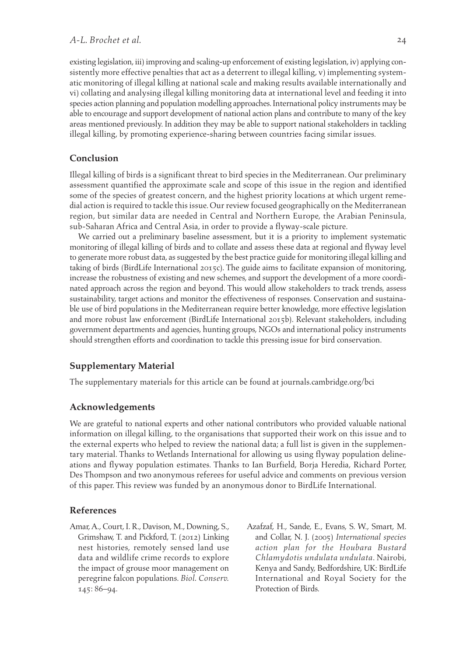existing legislation, iii) improving and scaling-up enforcement of existing legislation, iv) applying consistently more effective penalties that act as a deterrent to illegal killing, v) implementing systematic monitoring of illegal killing at national scale and making results available internationally and vi) collating and analysing illegal killing monitoring data at international level and feeding it into species action planning and population modelling approaches. International policy instruments may be able to encourage and support development of national action plans and contribute to many of the key areas mentioned previously. In addition they may be able to support national stakeholders in tackling illegal killing, by promoting experience-sharing between countries facing similar issues.

#### **Conclusion**

 Illegal killing of birds is a significant threat to bird species in the Mediterranean. Our preliminary assessment quantified the approximate scale and scope of this issue in the region and identified some of the species of greatest concern, and the highest priority locations at which urgent remedial action is required to tackle this issue. Our review focused geographically on the Mediterranean region, but similar data are needed in Central and Northern Europe, the Arabian Peninsula, sub-Saharan Africa and Central Asia, in order to provide a flyway-scale picture.

 We carried out a preliminary baseline assessment, but it is a priority to implement systematic monitoring of illegal killing of birds and to collate and assess these data at regional and flyway level to generate more robust data, as suggested by the best practice guide for monitoring illegal killing and taking of birds (BirdLife International 2015c). The guide aims to facilitate expansion of monitoring, increase the robustness of existing and new schemes, and support the development of a more coordinated approach across the region and beyond. This would allow stakeholders to track trends, assess sustainability, target actions and monitor the effectiveness of responses. Conservation and sustainable use of bird populations in the Mediterranean require better knowledge, more effective legislation and more robust law enforcement (BirdLife International 2015b). Relevant stakeholders, including government departments and agencies, hunting groups, NGOs and international policy instruments should strengthen efforts and coordination to tackle this pressing issue for bird conservation.

#### **Supplementary Material**

The supplementary materials for this article can be found at journals.cambridge.org/bci

#### **Acknowledgements**

 We are grateful to national experts and other national contributors who provided valuable national information on illegal killing, to the organisations that supported their work on this issue and to the external experts who helped to review the national data; a full list is given in the supplementary material. Thanks to Wetlands International for allowing us using flyway population delineations and flyway population estimates. Thanks to Ian Burfield, Borja Heredia, Richard Porter, Des Thompson and two anonymous referees for useful advice and comments on previous version of this paper. This review was funded by an anonymous donor to BirdLife International.

#### **References**

- Amar, A., Court, I. R., Davison, M., Downing, S., Grimshaw, T. and Pickford, T. (2012) Linking nest histories, remotely sensed land use data and wildlife crime records to explore the impact of grouse moor management on peregrine falcon populations . *Biol. Conserv.* 145: 86-94.
- Azafzaf, H., Sande, E., Evans, S. W., Smart, M. and Collar, N. J. (2005) *International species action plan for the Houbara Bustard Chlamydotis undulata undulata* . Nairobi, Kenya and Sandy, Bedfordshire, UK: BirdLife International and Royal Society for the Protection of Birds.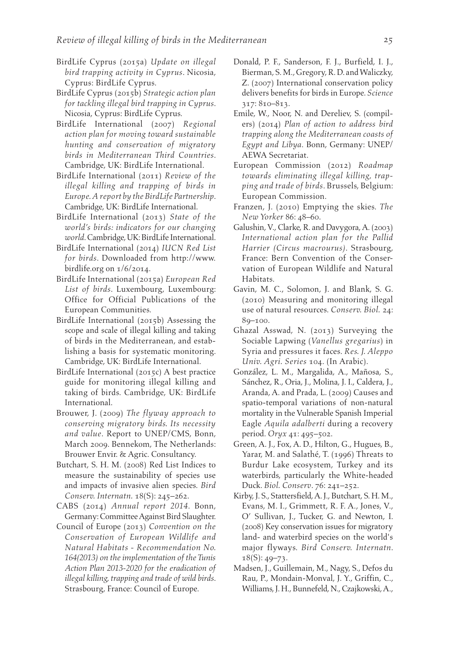- BirdLife Cyprus ( 2015 a) *Update on illegal bird trapping activity in Cyprus* . Nicosia, Cyprus: BirdLife Cyprus.
- BirdLife Cyprus ( 2015 b) *Strategic action plan for tackling illegal bird trapping in Cyprus* . Nicosia, Cyprus: BirdLife Cyprus.
- BirdLife International ( 2007 ) *Regional action plan for moving toward sustainable hunting and conservation of migratory birds in Mediterranean Third Countries* . Cambridge, UK: BirdLife International.
- BirdLife International ( 2011 ) *Review of the illegal killing and trapping of birds in Europe. A report by the BirdLife Partnership* . Cambridge, UK: BirdLife International.
- BirdLife International ( 2013 ) *State of the world's birds: indicators for our changing world*. Cambridge, UK: BirdLife International.
- BirdLife International ( 2014 ) *IUCN Red List for birds* . Downloaded from http://www. birdlife.org on 1/6/2014.
- BirdLife International ( 2015 a) *European Red*  List of birds. Luxembourg, Luxembourg: Office for Official Publications of the European Communities.
- BirdLife International (2015b) Assessing the scope and scale of illegal killing and taking of birds in the Mediterranean, and establishing a basis for systematic monitoring. Cambridge, UK: BirdLife International.
- BirdLife International ( 2015 c) A best practice guide for monitoring illegal killing and taking of birds. Cambridge, UK: BirdLife International.
- Brouwer, J. (2009) The flyway approach to *conserving migratory birds. Its necessity and value* . Report to UNEP/CMS, Bonn, March 2009. Bennekom, The Netherlands: Brouwer Envir. & Agric. Consultancy.
- Butchart, S. H. M. (2008) Red List Indices to measure the sustainability of species use and impacts of invasive alien species . *Bird Conserv. Internatn.* 18(S): 245-262.
- CABS ( 2014 ) *Annual report 2014* . Bonn, Germany: Committee Against Bird Slaughter.
- Council of Europe ( 2013 ) *Convention on the Conservation of European Wildlife and Natural Habitats - Recommendation No. 164(2013) on the implementation of the Tunis Action Plan 2013-2020 for the eradication of illegal killing, trapping and trade of wild birds* . Strasbourg, France: Council of Europe.
- Donald, P. F., Sanderson, F. J., Burfield, I. J., Bierman, S. M., Gregory, R. D. and Waliczky, Z. (2007) International conservation policy delivers benefits for birds in Europe . *Science* 317: 810-813.
- Emile, W., Noor, N. and Dereliev, S. (compilers) ( 2014 ) *Plan of action to address bird trapping along the Mediterranean coasts of*  Egypt and Libya. Bonn, Germany: UNEP/ AEWA Secretariat .
- European Commission (2012) *Roadmap towards eliminating illegal killing, trapping and trade of birds* . Brussels, Belgium : European Commission .
- Franzen, J. (2010) Emptying the skies. The *New Yorker* 86: 48-60.
- Galushin, V., Clarke, R. and Davygora, A. (2003) *International action plan for the Pallid Harrier (Circus macrourus)* . Strasbourg, France: Bern Convention of the Conservation of European Wildlife and Natural Habitats.
- Gavin, M. C., Solomon, J. and Blank, S. G. ( 2010 ) Measuring and monitoring illegal use of natural resources . *Conserv. Biol.* 24 :  $89 - 100$ .
- Ghazal Asswad, N. (2013) Surveying the Sociable Lapwing ( *Vanellus gregarius* ) in Syria and pressures it faces . *Res. J. Aleppo Univ. Agri. Series* 104. (In Arabic).
- González, L. M., Margalida, A., Mañosa, S., Sánchez, R., Oria, J., Molina, J. I., Caldera, J., Aranda, A. and Prada, L. (2009) Causes and spatio-temporal variations of non-natural mortality in the Vulnerable Spanish Imperial Eagle *Aquila adalberti* during a recovery period. *Oryx* 41: 495-502.
- Green, A. J., Fox, A. D., Hilton, G., Hugues, B., Yarar, M. and Salathé, T. (1996) Threats to Burdur Lake ecosystem, Turkey and its waterbirds, particularly the White-headed Duck. *Biol. Conserv.* 76: 241-252.
- Kirby, J. S., Stattersfield, A. J., Butchart, S. H. M., Evans, M. I., Grimmett, R. F. A., Jones, V., O' Sullivan, J., Tucker, G. and Newton, I. ( 2008 ) Key conservation issues for migratory land- and waterbird species on the world's major flyways . *Bird Conserv. Internatn* .  $18(S)$ : 49–73.
- Madsen, J., Guillemain, M., Nagy, S., Defos du Rau, P., Mondain-Monval, J. Y., Griffin, C., Williams, J. H., Bunnefeld, N., Czajkowski, A.,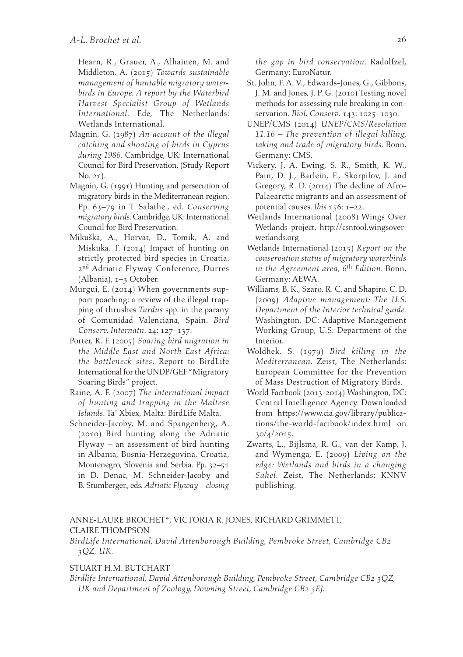Hearn, R., Grauer, A., Alhainen, M. and Middleton , A . ( 2015 ) *Towards sustainable management of huntable migratory waterbirds in Europe. A report by the Waterbird Harvest Specialist Group of Wetlands*  International. Ede, The Netherlands: Wetlands International.

- Magnin , G . ( 1987 ) *An account of the illegal catching and shooting of birds in Cyprus*  during 1986. Cambridge, UK: International Council for Bird Preservation . (Study Report No. 21).
- Magnin, G. (1991) Hunting and persecution of migratory birds in the Mediterranean region. Pp. 63 – 79 in T Salathe ., ed. *Conserving migratory birds* . Cambridge, UK : International Council for Bird Preservation.
- Mikuška, A., Horvat, D., Tomik, A. and Miskuka, T. (2014) Impact of hunting on strictly protected bird species in Croatia. 2<sup>nd</sup> Adriatic Flyway Conference, Durres (Albania), 1–3 October.
- Murgui, E. (2014) When governments support poaching: a review of the illegal trapping of thrushes *Turdus* spp. in the parany of Comunidad Valenciana, Spain . *Bird Conserv. Internatn.* 24: 127-137.
- Porter, R. F. (2005) Soaring bird migration in *the Middle East and North East Africa: the bottleneck sites* . Report to BirdLife International for the UNDP/GEF "Migratory Soaring Birds" project.
- Raine, A. F. (2007) *The international impact of hunting and trapping in the Maltese*  Islands. Ta' Xbiex, Malta: BirdLife Malta.
- Schneider-Jacoby, M. and Spangenberg, A. ( 2010 ) Bird hunting along the Adriatic Flyway – an assessment of bird hunting in Albania, Bosnia-Herzegovina, Croatia, Montenegro, Slovenia and Serbia. Pp. 32-51 in D. Denac, M. Schneider-Jacoby and B. Stumberger ., eds. *Adriatic Flyway – closing*

*the gap in bird conservation* . Radolfzel, Germany: EuroNatur.

- St. John, F. A. V., Edwards-Jones, G., Gibbons, J. M. and Jones, J. P. G. (2010) Testing novel methods for assessing rule breaking in conservation. *Biol. Conserv*. 143: 1025-1030.
- UNEP/CMS ( 2014 ) *UNEP/CMS/Resolution 11.16 – The prevention of illegal killing, taking and trade of migratory birds* . Bonn, Germany: CMS.
- Vickery, J. A. Ewing, S. R., Smith, K. W., Pain, D. J., Barlein, F., Skorpilov, J. and Gregory, R. D. (2014) The decline of Afro-Palaearctic migrants and an assessment of potential causes. *Ibis* 156: 1-22.
- Wetlands International (2008) Wings Over Wetlands project. http://csntool.wingsoverwetlands.org
- Wetlands International ( 2015 ) *Report on the conservation status of migratory waterbirds in the Agreement area, 6* th *Edition* . Bonn, Germany: AEWA.
- Williams, B. K., Szaro, R. C. and Shapiro, C. D. ( 2009 ) *Adaptive management: The U.S. Department of the Interior technical guide.* Washington, DC: Adaptive Management Working Group, U.S. Department of the Interior.
- Woldhek, S. (1979) *Bird killing in the Mediterranean* . Zeist, The Netherlands : European Committee for the Prevention of Mass Destruction of Migratory Birds.
- World Factbook (2013-2014) Washington, DC: Central Intelligence Agency. Downloaded from https://www.cia.gov/library/publications/the-world-factbook/index.html on 30/4/2015.
- Zwarts, L., Bijlsma, R. G., van der Kamp, J. and Wymenga, E. (2009) Living on the *edge: Wetlands and birds in a changing*  Sahel. Zeist, The Netherlands: KNNV publishing.

# ANNE-LAURE BROCHET\*, VICTORIA R. JONES, RICHARD GRIMMETT, CLAIRE THOMPSON

# *BirdLife International , David Attenborough Building , Pembroke Street , Cambridge CB2 3QZ , UK .*

# STUART H.M. BUTCHART

 *Birdlife International , David Attenborough Building , Pembroke Street , Cambridge CB2 3QZ , UK and Department of Zoology , Downing Street , Cambridge CB2 3EJ .*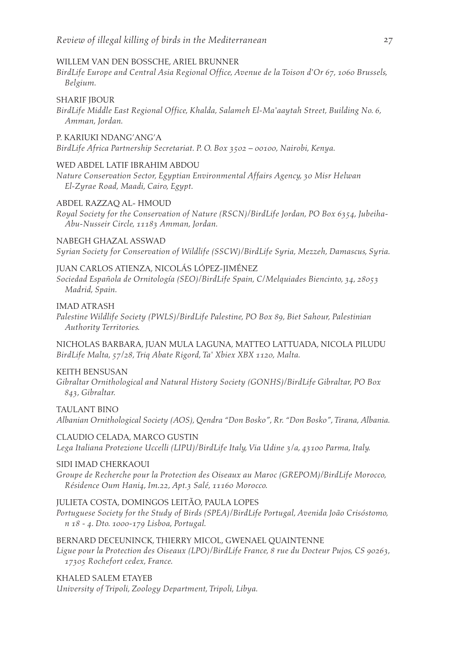#### WILLEM VAN DEN BOSSCHE , ARIEL BRUNNER

 *BirdLife Europe and Central Asia Regional Office , Avenue de la Toison d'Or 67 , 1060 Brussels , Belgium .* 

SHARIF JBOUR

 *BirdLife Middle East Regional Office , Khalda , Salameh El-Ma'aaytah Street , Building No. 6 , Amman, Jordan.* 

 P. KARIUKI NDANG'ANG'A  *BirdLife Africa Partnership Secretariat . P. O. Box 3502 – 00100 , Nairobi , Kenya .* 

# WED ABDEL LATIF IBRAHIM ABDOU

 *Nature Conservation Sector , Egyptian Environmental Affairs Agency , 30 Misr Helwan*   $El-Zyrae Road, Maadi, Cairo, Egypt.$ 

ABDEL RAZZAQ AL- HMOUD

 *Royal Society for the Conservation of Nature (RSCN)/BirdLife Jordan , PO Box 6354 , Jubeiha-Abu-Nusseir Circle , 11183 Amman , Jordan .* 

NABEGH GHAZAL ASSWAD

 *Syrian Society for Conservation of Wildlife (SSCW)/BirdLife Syria , Mezzeh , Damascus , Syria .* 

# JUAN CARLOS ATIENZA , NICOLÁS LÓPEZ-JIMÉNEZ

 *Sociedad Española de Ornitología (SEO)/BirdLife Spain , C/Melquiades Biencinto , 34 , 28053 Madrid*, Spain.

#### IMAD ATRASH

 *Palestine Wildlife Society (PWLS)/BirdLife Palestine , PO Box 89 , Biet Sahour , Palestinian Authority Territories .* 

 NICHOLAS BARBARA , JUAN MULA LAGUNA , MATTEO LATTUADA , NICOLA PILUDU BirdLife Malta, 57/28, Triq Abate Rigord, Ta' Xbiex XBX 1120, Malta.

# KEITH BENSUSAN

 *Gibraltar Ornithological and Natural History Society (GONHS)/BirdLife Gibraltar , PO Box 843 , Gibraltar .* 

 TAULANT BINO  *Albanian Ornithological Society (AOS) , Qendra "Don Bosko" , Rr. "Don Bosko" , Tirana , Albania .* 

CLAUDIO CELADA, MARCO GUSTIN  *Lega Italiana Protezione Uccelli (LIPU)/BirdLife Italy , Via Udine 3/a , 43100 Parma , Italy .* 

# SIDI IMAD CHERKAOUI

 *Groupe de Recherche pour la Protection des Oiseaux au Maroc (GREPOM)/BirdLife Morocco , Résidence Oum Hani4 , Im.22 , Apt.3 Salé , 11160 Morocco .* 

# JULIETA COSTA , DOMINGOS LEITÃO , PAULA LOPES

 *Portuguese Society for the Study of Birds (SPEA)/BirdLife Portugal , Avenida João Crisóstomo , n 18 - 4 . Dto . 1000-179 Lisboa , Portugal .* 

# BERNARD DECEUNINCK, THIERRY MICOL, GWENAEL QUAINTENNE

 *Ligue pour la Protection des Oiseaux (LPO)/BirdLife France, 8 rue du Docteur Pujos , CS 90263 , 17305 Rochefort cedex , France .* 

KHALED SALEM ETAYEB

 *University of Tripoli , Zoology Department , Tripoli , Libya .*